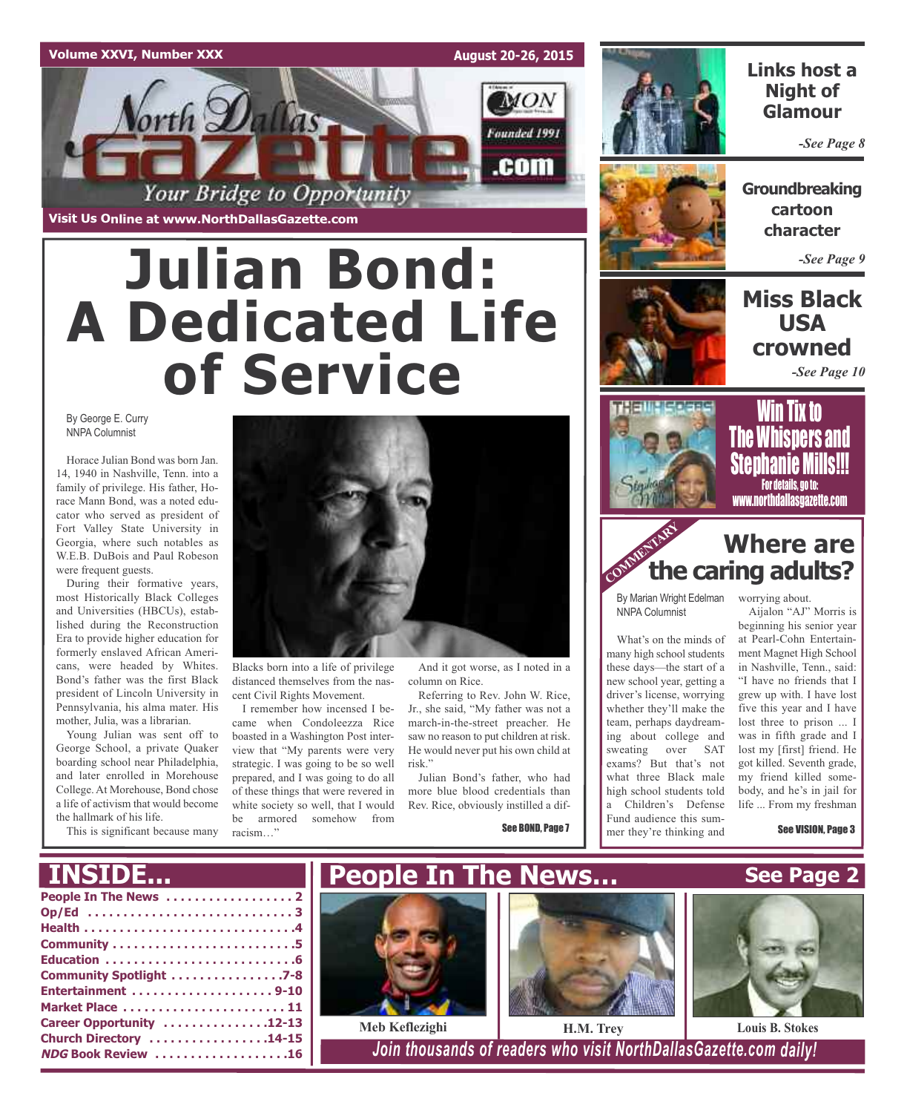## **Volume XXVI, Number XXX**

**August 20-26, 2015**



# **Julian Bond: A Dedicated Life of Service**

By George E. Curry NNPA Columnist

Horace Julian Bond was born Jan. 14, 1940 in Nashville, Tenn. into a family of privilege. His father, Horace Mann Bond, was a noted educator who served as president of Fort Valley State University in Georgia, where such notables as W.E.B. DuBois and Paul Robeson were frequent guests.

During their formative years, most Historically Black Colleges and Universities (HBCUs), established during the Reconstruction Era to provide higher education for formerly enslaved African Americans, were headed by Whites. Bond's father was the first Black president of Lincoln University in Pennsylvania, his alma mater. His mother, Julia, was a librarian.

Young Julian was sent off to George School, a private Quaker boarding school near Philadelphia, and later enrolled in Morehouse College. At Morehouse, Bond chose a life of activism that would become the hallmark of his life.

This is significant because many



Blacks born into a life of privilege distanced themselves from the nascent Civil Rights Movement.

I remember how incensed I became when Condoleezza Rice boasted in a Washington Post interview that "My parents were very strategic. I was going to be so well prepared, and I was going to do all of these things that were revered in white society so well, that I would be armored somehow from racism…"

And it got worse, as I noted in a column on Rice.

Referring to Rev. John W. Rice, Jr., she said, "My father was not a march-in-the-street preacher. He saw no reason to put children at risk. He would never put his own child at risk."

Julian Bond's father, who had more blue blood credentials than Rev. Rice, obviously instilled a dif-

See BOND, Page 7



## **Links host a Night of Glamour**

*-See Page 8*



**Groundbreaking cartoon character**

*-See Page 9*

## **Miss Black USA crowned**

*-See Page 10*



Win Tix to The Whispers and Stenhanie Mil For details, go to: www.northdallasgazette.com

## **community Where** are **caring adults? Where are**

By Marian Wright Edelman worrying about. NNPA Columnist

What's on the minds of many high school students these days—the start of a new school year, getting a driver's license, worrying whether they'll make the team, perhaps daydreaming about college and sweating over SAT exams? But that's not what three Black male high school students told a Children's Defense Fund audience this sum-

mer they're thinking and

Aijalon "AJ" Morris is

beginning his senior year at Pearl-Cohn Entertainment Magnet High School in Nashville, Tenn., said: "I have no friends that I grew up with. I have lost five this year and I have lost three to prison ... I was in fifth grade and I lost my [first] friend. He got killed. Seventh grade, my friend killed somebody, and he's in jail for life ... From my freshman

See VISION, Page 3

## **INSIDE...**

| Community Spotlight 7-8   |
|---------------------------|
|                           |
| Market Place  11          |
| Career Opportunity 12-13  |
| Church Directory 14-15    |
| <b>NDG Book Review 16</b> |
|                           |







 $I$  *Join thousands of readers who visit NorthDallasGazette.com daily!*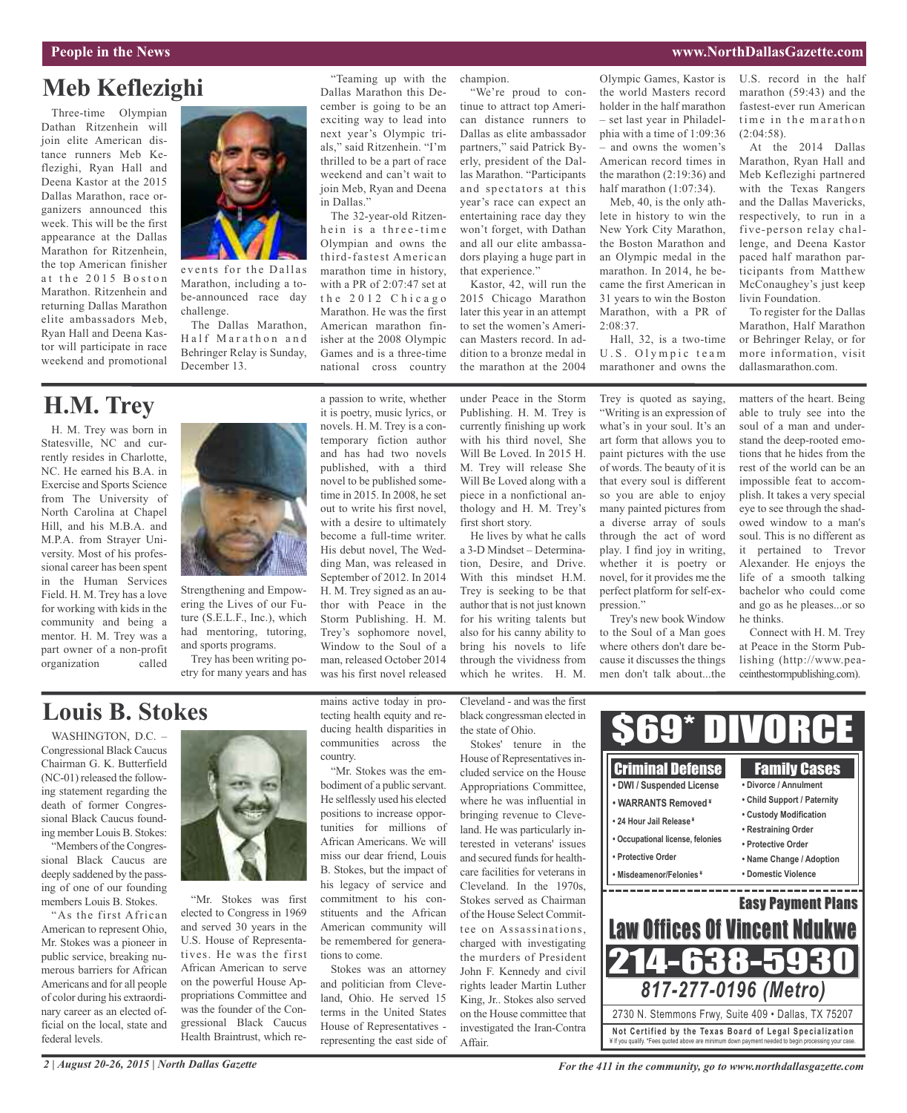## **Meb Keflezighi**

Three-time Olympian Dathan Ritzenhein will join elite American distance runners Meb Keflezighi, Ryan Hall and Deena Kastor at the 2015 Dallas Marathon, race organizers announced this week. This will be the first appearance at the Dallas Marathon for Ritzenhein, the top American finisher at the 2015 Boston Marathon. Ritzenhein and returning Dallas Marathon elite ambassadors Meb, Ryan Hall and Deena Kastor will participate in race weekend and promotional



events for the Dallas Marathon, including a tobe-announced race day challenge.

The Dallas Marathon, Half Marathon and Behringer Relay is Sunday, December 13.

### "Teaming up with the Dallas Marathon this December is going to be an exciting way to lead into next year's Olympic trials," said Ritzenhein. "I'm thrilled to be a part of race weekend and can't wait to join Meb, Ryan and Deena in Dallas."

The 32-year-old Ritzenhein is a three-time Olympian and owns the third-fastest American marathon time in history, with a PR of 2:07:47 set at the 2012 Chicago Marathon. He was the first American marathon finisher at the 2008 Olympic Games and is a three-time national cross country

a passion to write, whether it is poetry, music lyrics, or novels. H. M. Trey is a con-

champion.

"We're proud to con-

tinue to attract top American distance runners to Dallas as elite ambassador partners," said Patrick Byerly, president of the Dallas Marathon. "Participants and spectators at this year's race can expect an entertaining race day they won't forget, with Dathan and all our elite ambassadors playing a huge part in that experience."

Kastor, 42, will run the 2015 Chicago Marathon later this year in an attempt to set the women's American Masters record. In addition to a bronze medal in the marathon at the 2004

under Peace in the Storm Publishing. H. M. Trey is currently finishing up work with his third novel, She Will Be Loved. In 2015 H. M. Trey will release She Will Be Loved along with a piece in a nonfictional anthology and H. M. Trey's first short story.

He lives by what he calls a 3-D Mindset – Determination, Desire, and Drive. With this mindset H.M. Trey is seeking to be that author that is not just known for his writing talents but also for his canny ability to bring his novels to life through the vividness from which he writes. H. M.

Trey is quoted as saying, "Writing is an expression of what's in your soul. It's an art form that allows you to paint pictures with the use of words. The beauty of it is that every soul is different so you are able to enjoy many painted pictures from a diverse array of souls through the act of word play. I find joy in writing, whether it is poetry or novel, for it provides me the perfect platform for self-expression."

Hall, 32, is a two-time U.S. Olympic team marathoner and owns the

2:08:37.

Olympic Games, Kastor is the world Masters record holder in the half marathon – set last year in Philadelphia with a time of 1:09:36 – and owns the women's American record times in the marathon (2:19:36) and half marathon (1:07:34). Meb, 40, is the only athlete in history to win the New York City Marathon, the Boston Marathon and an Olympic medal in the marathon. In 2014, he became the first American in 31 years to win the Boston Marathon, with a PR of

Trey's new book Window to the Soul of a Man goes where others don't dare because it discusses the things U.S. record in the half marathon (59:43) and the fastest-ever run American time in the marathon  $(2:04:58)$ .

At the 2014 Dallas Marathon, Ryan Hall and Meb Keflezighi partnered with the Texas Rangers and the Dallas Mavericks, respectively, to run in a five-person relay challenge, and Deena Kastor paced half marathon participants from Matthew McConaughey's just keep livin Foundation.

To register for the Dallas Marathon, Half Marathon or Behringer Relay, or for more information, visit dallasmarathon.com.

matters of the heart. Being able to truly see into the soul of a man and understand the deep-rooted emotions that he hides from the rest of the world can be an impossible feat to accomplish. It takes a very special eye to see through the shadowed window to a man's soul. This is no different as it pertained to Trevor Alexander. He enjoys the life of a smooth talking bachelor who could come and go as he pleases...or so

he thinks.

Connect with H. M. Trey at Peace in the Storm Pub-

H. M. Trey was born in **H.M. Trey**

Statesville, NC and currently resides in Charlotte, NC. He earned his B.A. in Exercise and Sports Science from The University of North Carolina at Chapel Hill, and his M.B.A. and M.P.A. from Strayer University. Most of his professional career has been spent in the Human Services Field. H. M. Trey has a love for working with kids in the community and being a mentor. H. M. Trey was a part owner of a non-profit organization called



Strengthening and Empowering the Lives of our Future (S.E.L.F., Inc.), which had mentoring, tutoring, and sports programs.

Trey has been writing poetry for many years and has temporary fiction author and has had two novels published, with a third novel to be published sometime in 2015. In 2008, he set out to write his first novel, with a desire to ultimately become a full-time writer. His debut novel, The Wedding Man, was released in September of 2012. In 2014 H. M. Trey signed as an author with Peace in the Storm Publishing. H. M. Trey's sophomore novel, Window to the Soul of a man, released October 2014 was his first novel released

Cleveland - and was the first black congressman elected in the state of Ohio.

Stokes' tenure in the House of Representatives included service on the House Appropriations Committee, where he was influential in bringing revenue to Cleveland. He was particularly interested in veterans' issues and secured funds for healthcare facilities for veterans in Cleveland. In the 1970s, Stokes served as Chairman of the House Select Committee on Assassinations, charged with investigating the murders of President John F. Kennedy and civil rights leader Martin Luther King, Jr.. Stokes also served on the House committee that investigated the Iran-Contra Affair.

lishing (http://www.peamen don't talk about...the ceinthestormpublishing.com). 69 Criminal Defense Family Cases **• DWI / Suspended License • Divorce / Annulment • Child Support / Paternity • WARRANTS Removed ¥ • Custody Modification • 24 Hour Jail Release ¥ • Restraining Order • Occupational license, felonies • Protective Order • Protective Order • Name Change / Adoption • Misdeamenor/Felonies ¥ • Domestic Violence** and the state of the state of the state of the state of the state of the \_\_\_\_\_\_\_\_\_\_\_\_

**Not Ce rtified by the Te x a s Boa rd of Lega l Spe c ia l i za tion** ¥ If you qualify. \*Fees quoted above are minimum down payment needed to begin processing your case. 2730 N. Stemmons Frwy, Suite 409 • Dallas, TX 75207 *817-277-0196 (Metro)* Easy Payment Plans 214-638-5930 Law Offices Of Vincent Ndukwe

## **Louis B. Stokes**

WASHINGTON, D.C. -Congressional Black Caucus Chairman G. K. Butterfield (NC-01) released the following statement regarding the death of former Congressional Black Caucus founding member Louis B. Stokes:

"Members of the Congressional Black Caucus are deeply saddened by the passing of one of our founding members Louis B. Stokes.

"As the first African American to represent Ohio, Mr. Stokes was a pioneer in public service, breaking numerous barriers for African Americans and for all people of color during his extraordinary career as an elected official on the local, state and federal levels.



"Mr. Stokes was first elected to Congress in 1969 and served 30 years in the U.S. House of Representatives. He was the first African American to serve on the powerful House Appropriations Committee and was the founder of the Congressional Black Caucus Health Braintrust, which remains active today in protecting health equity and reducing health disparities in communities across the country.

"Mr. Stokes was the embodiment of a public servant. He selflessly used his elected positions to increase opportunities for millions of African Americans. We will miss our dear friend, Louis B. Stokes, but the impact of his legacy of service and commitment to his constituents and the African American community will be remembered for generations to come.

Stokes was an attorney and politician from Cleveland, Ohio. He served 15 terms in the United States House of Representatives representing the east side of

*For the 411 in the community, go to www.northdallasgazette.com*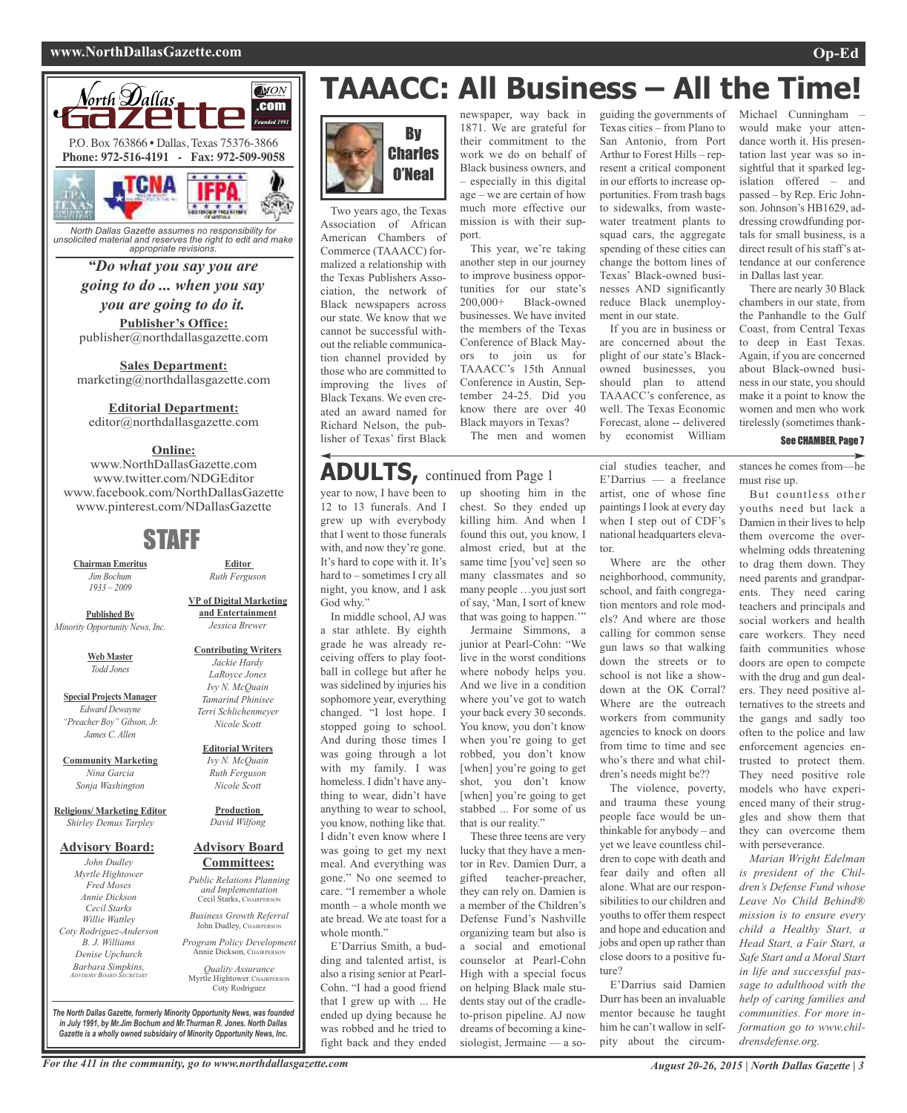## **www.NorthDallasGazette.com Op-Ed**



*North Dallas Gazette assumes no responsibility for unsolicited material and reserves the right to edit and make appropriate revisions.*

**Publisher's Office:** *"Do what you say you are going to do ... when you say you are going to do it.*

publisher@northdallasgazette.com **Sales Department:**

marketing@northdallasgazette.com

**Editorial Department:**

editor@northdallasgazette.com

## **Online:**

www.NorthDallasGazette.com www.twitter.com/NDGEditor www.facebook.com/NorthDallasGazette www.pinterest.com/NDallasGazette

## STAFF

**Chairman Emeritus** *Jim Bochum 1933 – 2009*

**Published By** *Minority Opportunity News, Inc.*

> **Web Master** *Todd Jones*

**Special Projects Manager** *Edward Dewayne "Preacher Boy" Gibson, Jr. James C. Allen*

**Community Marketing** *Nina Garcia Sonja Washington*

**Religious/ Marketing Editor** *Shirley Demus Tarpley*

#### **Advisory Board:**

*John Dudley Myrtle Hightower Fred Moses Annie Dickson Cecil Starks Willie Wattley Coty Rodriguez-Anderson B. J. Williams Denise Upchurch Barbara Simpkins, ADVISORY BOARD SECRETARY*

**and Entertainment** *Jessica Brewer*

#### **Contributing Writers** *Jackie Hardy LaRoyce Jones Ivy N. McQuain Tamarind Phinisee Terri Schlichenmeyer Nicole Scott*

**Editorial Writers** *Ivy N. McQuain Ruth Ferguson Nicole Scott*

**Production** *David Wilfong*

## **Advisory Board Committees:**

*Public Relations Planning and Implementation* Cecil Starks, CHAIRPERSON

*Business Growth Referral* John Dudley, CHAIRPERSON

*Program Policy Development* Annie Dickson, CHAIRPERS

*Quality Assurance* Myrtle Hightower, CHAIRPERSON Coty Rodriguez

*The North Dallas Gazette, formerly Minority Opportunity News, was founded in July 1991, by Mr.Jim Bochum and Mr.Thurman R. Jones. North Dallas Gazette is a wholly owned subsidairy of Minority Opportunity News, Inc.*

# **TAAACC: All Business – All the Time!**



Two years ago, the Texas Association of African American Chambers of Commerce (TAAACC) formalized a relationship with the Texas Publishers Association, the network of Black newspapers across our state. We know that we cannot be successful without the reliable communication channel provided by those who are committed to improving the lives of Black Texans. We even created an award named for Richard Nelson, the publisher of Texas' first Black

newspaper, way back in 1871. We are grateful for their commitment to the work we do on behalf of Black business owners, and – especially in this digital age – we are certain of how much more effective our mission is with their support.

This year, we're taking another step in our journey to improve business opportunities for our state's 200,000+ Black-owned businesses. We have invited the members of the Texas Conference of Black Mayors to join us for TAAACC's 15th Annual Conference in Austin, September 24-25. Did you know there are over 40 Black mayors in Texas? The men and women

## **ADULTS,** continued from Page <sup>1</sup>

year to now, I have been to up shooting him in the 12 to 13 funerals. And I grew up with everybody that I went to those funerals with, and now they're gone. It's hard to cope with it. It's hard to – sometimes I cry all night, you know, and I ask God why."

In middle school, AJ was a star athlete. By eighth grade he was already receiving offers to play football in college but after he was sidelined by injuries his sophomore year, everything changed. "I lost hope. I stopped going to school. And during those times I was going through a lot with my family. I was homeless. I didn't have anything to wear, didn't have anything to wear to school, you know, nothing like that. I didn't even know where I was going to get my next meal. And everything was gone." No one seemed to care. "I remember a whole month – a whole month we ate bread. We ate toast for a whole month."

E'Darrius Smith, a budding and talented artist, is also a rising senior at Pearl-Cohn. "I had a good friend that I grew up with ... He ended up dying because he was robbed and he tried to fight back and they ended

chest. So they ended up killing him. And when I found this out, you know, I almost cried, but at the same time [you've] seen so many classmates and so many people …you just sort of say, 'Man, I sort of knew that was going to happen.'"

Jermaine Simmons, a junior at Pearl-Cohn: "We live in the worst conditions where nobody helps you. And we live in a condition where you've got to watch your back every 30 seconds. You know, you don't know when you're going to get robbed, you don't know [when] you're going to get shot, you don't know [when] you're going to get stabbed ... For some of us that is our reality."

These three teens are very lucky that they have a mentor in Rev. Damien Durr, a gifted teacher-preacher, they can rely on. Damien is a member of the Children's Defense Fund's Nashville organizing team but also is a social and emotional counselor at Pearl-Cohn High with a special focus on helping Black male students stay out of the cradleto-prison pipeline. AJ now dreams of becoming a kinesiologist, Jermaine — a soguiding the governments of Texas cities – from Plano to San Antonio, from Port Arthur to Forest Hills – represent a critical component in our efforts to increase opportunities. From trash bags to sidewalks, from wastewater treatment plants to squad cars, the aggregate spending of these cities can change the bottom lines of Texas' Black-owned businesses AND significantly reduce Black unemployment in our state.

If you are in business or are concerned about the plight of our state's Blackowned businesses, you should plan to attend TAAACC's conference, as well. The Texas Economic Forecast, alone -- delivered by economist William

cial studies teacher, and E'Darrius — a freelance artist, one of whose fine paintings I look at every day when I step out of CDF's national headquarters elevator.

Where are the other neighborhood, community, school, and faith congregation mentors and role models? And where are those calling for common sense gun laws so that walking down the streets or to school is not like a showdown at the OK Corral? Where are the outreach workers from community agencies to knock on doors from time to time and see who's there and what children's needs might be??

The violence, poverty, and trauma these young people face would be unthinkable for anybody – and yet we leave countless children to cope with death and fear daily and often all alone. What are our responsibilities to our children and youths to offer them respect and hope and education and jobs and open up rather than close doors to a positive future?

E'Darrius said Damien Durr has been an invaluable mentor because he taught him he can't wallow in selfpity about the circumMichael Cunningham – would make your attendance worth it. His presentation last year was so insightful that it sparked legislation offered – and passed – by Rep. Eric Johnson. Johnson's HB1629, addressing crowdfunding portals for small business, is a direct result of his staff's attendance at our conference in Dallas last year.

There are nearly 30 Black chambers in our state, from the Panhandle to the Gulf Coast, from Central Texas to deep in East Texas. Again, if you are concerned about Black-owned business in our state, you should make it a point to know the women and men who work tirelessly (sometimes thank-

### See CHAMBER, Page 7

stances he comes from—he must rise up.

But countless other youths need but lack a Damien in their lives to help them overcome the overwhelming odds threatening to drag them down. They need parents and grandparents. They need caring teachers and principals and social workers and health care workers. They need faith communities whose doors are open to compete with the drug and gun dealers. They need positive alternatives to the streets and the gangs and sadly too often to the police and law enforcement agencies entrusted to protect them. They need positive role models who have experienced many of their struggles and show them that they can overcome them with perseverance.

*Marian Wright Edelman is president of the Children's Defense Fund whose Leave No Child Behind® mission is to ensure every child a Healthy Start, a Head Start, a Fair Start, a Safe Start and a Moral Start in life and successful passage to adulthood with the help of caring families and communities. For more information go to www.childrensdefense.org.*

## **Editor** *Ruth Ferguson*

**VP of Digital Marketing**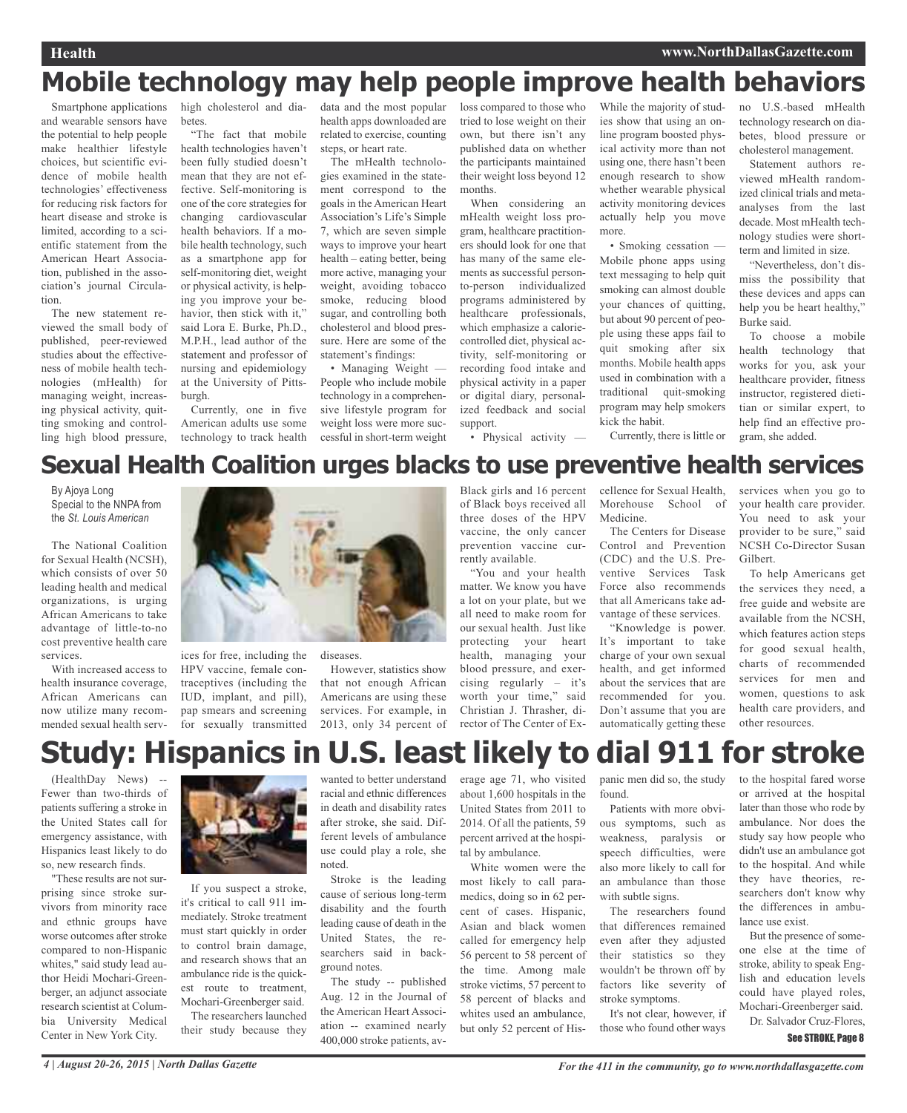## **Mobile technology may help people improve health behaviors**

Smartphone applications and wearable sensors have the potential to help people make healthier lifestyle choices, but scientific evidence of mobile health technologies' effectiveness for reducing risk factors for heart disease and stroke is limited, according to a scientific statement from the American Heart Association, published in the association's journal Circulation.

The new statement reviewed the small body of published, peer-reviewed studies about the effectiveness of mobile health technologies (mHealth) for managing weight, increasing physical activity, quitting smoking and controlling high blood pressure, high cholesterol and diabetes.

"The fact that mobile health technologies haven't been fully studied doesn't mean that they are not effective. Self-monitoring is one of the core strategies for changing cardiovascular health behaviors. If a mobile health technology, such as a smartphone app for self-monitoring diet, weight or physical activity, is helping you improve your behavior, then stick with it," said Lora E. Burke, Ph.D., M.P.H., lead author of the statement and professor of nursing and epidemiology at the University of Pittsburgh.

Currently, one in five American adults use some technology to track health data and the most popular health apps downloaded are related to exercise, counting steps, or heart rate.

The mHealth technologies examined in the statement correspond to the goals in the American Heart Association's Life's Simple 7, which are seven simple ways to improve your heart health – eating better, being more active, managing your weight, avoiding tobacco smoke, reducing blood sugar, and controlling both cholesterol and blood pressure. Here are some of the statement's findings:

• Managing Weight — People who include mobile technology in a comprehensive lifestyle program for weight loss were more successful in short-term weight loss compared to those who tried to lose weight on their own, but there isn't any published data on whether the participants maintained their weight loss beyond 12 months.

When considering an mHealth weight loss program, healthcare practitioners should look for one that has many of the same elements as successful personto-person individualized programs administered by healthcare professionals, which emphasize a caloriecontrolled diet, physical activity, self-monitoring or recording food intake and physical activity in a paper or digital diary, personalized feedback and social support.

• Physical activity —

While the majority of studies show that using an online program boosted physical activity more than not using one, there hasn't been enough research to show whether wearable physical activity monitoring devices actually help you move more.

• Smoking cessation — Mobile phone apps using text messaging to help quit smoking can almost double your chances of quitting, but about 90 percent of people using these apps fail to quit smoking after six months. Mobile health apps used in combination with a traditional quit-smoking program may help smokers kick the habit.

no U.S.-based mHealth technology research on diabetes, blood pressure or cholesterol management.

Statement authors reviewed mHealth randomized clinical trials and metaanalyses from the last decade. Most mHealth technology studies were shortterm and limited in size.

"Nevertheless, don't dismiss the possibility that these devices and apps can help you be heart healthy," Burke said.

To choose a mobile health technology that works for you, ask your healthcare provider, fitness instructor, registered dietitian or similar expert, to help find an effective program, she added.

## Currently, there is little or

## **Sexual Health Coalition urges blacks to use preventive health services**

By Ajoya Long Special to the NNPA from the *St. Louis American*

The National Coalition for Sexual Health (NCSH), which consists of over 50 leading health and medical organizations, is urging African Americans to take advantage of little-to-no cost preventive health care services.

With increased access to health insurance coverage, African Americans can now utilize many recommended sexual health serv-



ices for free, including the HPV vaccine, female contraceptives (including the IUD, implant, and pill), pap smears and screening for sexually transmitted

diseases. However, statistics show that not enough African Americans are using these services. For example, in 2013, only 34 percent of Black girls and 16 percent of Black boys received all three doses of the HPV vaccine, the only cancer prevention vaccine currently available.

"You and your health matter. We know you have a lot on your plate, but we all need to make room for our sexual health. Just like protecting your heart health, managing your blood pressure, and exercising regularly – it's worth your time," said Christian J. Thrasher, director of The Center of Excellence for Sexual Health, Morehouse School of Medicine.

The Centers for Disease Control and Prevention (CDC) and the U.S. Preventive Services Task Force also recommends that all Americans take advantage of these services. "Knowledge is power.

It's important to take charge of your own sexual health, and get informed about the services that are recommended for you. Don't assume that you are automatically getting these

services when you go to your health care provider. You need to ask your provider to be sure," said NCSH Co-Director Susan Gilbert.

To help Americans get the services they need, a free guide and website are available from the NCSH, which features action steps for good sexual health, charts of recommended services for men and women, questions to ask health care providers, and other resources.

# **Study: Hispanics in U.S. least likely to dial 911 for stroke**

(HealthDay News) -- Fewer than two-thirds of patients suffering a stroke in the United States call for emergency assistance, with Hispanics least likely to do so, new research finds.

"These results are not surprising since stroke survivors from minority race and ethnic groups have worse outcomes after stroke compared to non-Hispanic whites," said study lead author Heidi Mochari-Greenberger, an adjunct associate research scientist at Columbia University Medical Center in New York City.



If you suspect a stroke, it's critical to call 911 immediately. Stroke treatment must start quickly in order to control brain damage, and research shows that an ambulance ride is the quickest route to treatment, Mochari-Greenberger said. The researchers launched their study because they wanted to better understand racial and ethnic differences in death and disability rates after stroke, she said. Different levels of ambulance use could play a role, she noted.

Stroke is the leading cause of serious long-term disability and the fourth leading cause of death in the United States, the researchers said in background notes.

The study -- published Aug. 12 in the Journal of the American Heart Association -- examined nearly 400,000 stroke patients, average age 71, who visited about 1,600 hospitals in the United States from 2011 to 2014. Of all the patients, 59 percent arrived at the hospital by ambulance.

White women were the most likely to call paramedics, doing so in 62 percent of cases. Hispanic, Asian and black women called for emergency help 56 percent to 58 percent of the time. Among male stroke victims, 57 percent to 58 percent of blacks and whites used an ambulance, but only 52 percent of His-

panic men did so, the study found.

Patients with more obvious symptoms, such as weakness, paralysis or speech difficulties, were also more likely to call for an ambulance than those with subtle signs.

The researchers found that differences remained even after they adjusted their statistics so they wouldn't be thrown off by factors like severity of stroke symptoms.

It's not clear, however, if those who found other ways to the hospital fared worse or arrived at the hospital later than those who rode by ambulance. Nor does the study say how people who didn't use an ambulance got to the hospital. And while they have theories, researchers don't know why the differences in ambulance use exist.

But the presence of someone else at the time of stroke, ability to speak English and education levels could have played roles, Mochari-Greenberger said.

Dr. Salvador Cruz-Flores,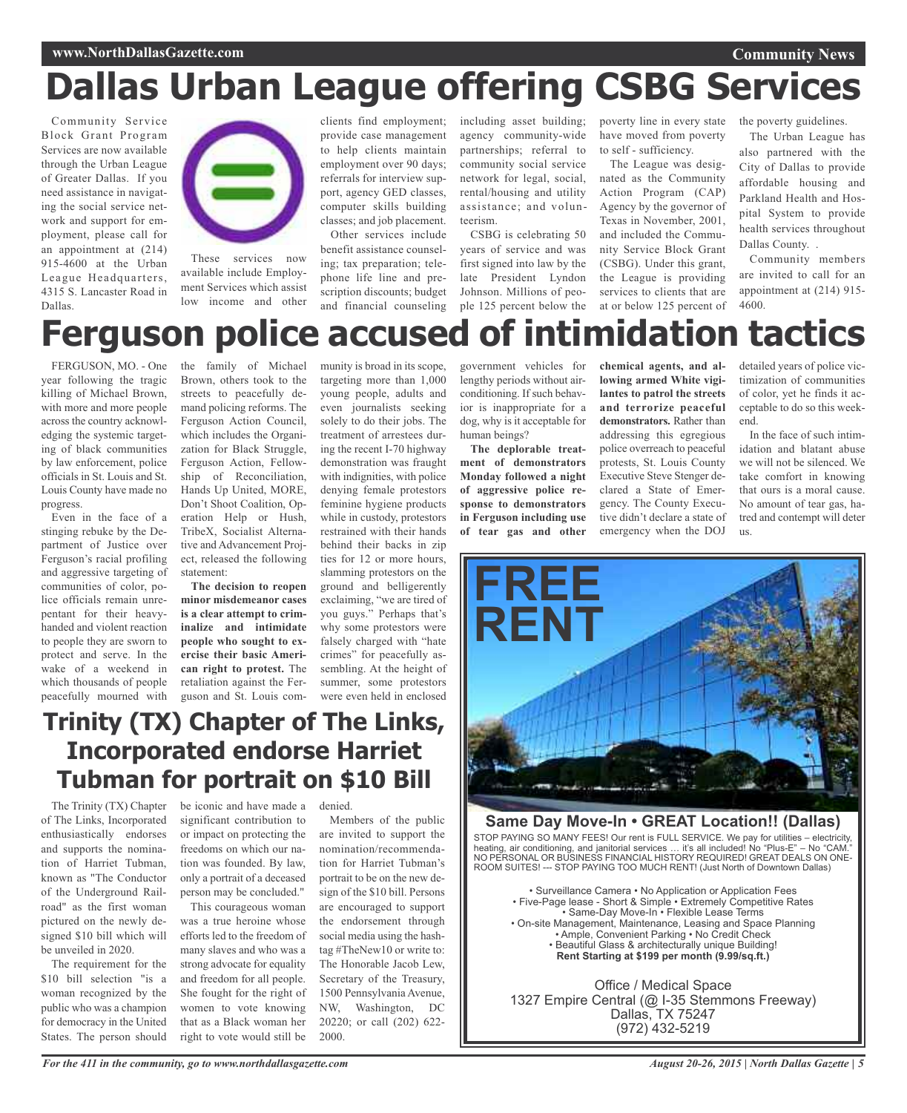# **Dallas Urban League offering CSBG Services**

Community Service Block Grant Program Services are now available through the Urban League of Greater Dallas. If you need assistance in navigating the social service network and support for employment, please call for an appointment at (214) 915-4600 at the Urban League Headquarters, 4315 S. Lancaster Road in Dallas.



These services now available include Employment Services which assist low income and other clients find employment; provide case management to help clients maintain employment over 90 days; referrals for interview support, agency GED classes, computer skills building classes; and job placement.

Other services include benefit assistance counseling; tax preparation; telephone life line and prescription discounts; budget and financial counseling including asset building; agency community-wide partnerships; referral to community social service network for legal, social, rental/housing and utility assistance; and volunteerism.

CSBG is celebrating 50 years of service and was first signed into law by the late President Lyndon Johnson. Millions of people 125 percent below the at or below 125 percent of

poverty line in every state have moved from poverty to self - sufficiency.

The League was designated as the Community Action Program (CAP) Agency by the governor of Texas in November, 2001, and included the Community Service Block Grant (CSBG). Under this grant, the League is providing services to clients that are the poverty guidelines.

**Community News**

The Urban League has also partnered with the City of Dallas to provide affordable housing and Parkland Health and Hospital System to provide health services throughout Dallas County. .

Community members are invited to call for an appointment at (214) 915- 4600.

# **Ferguson police accused of intimidation tactics**

FERGUSON, MO. - One year following the tragic killing of Michael Brown, with more and more people across the country acknowledging the systemic targeting of black communities by law enforcement, police officials in St. Louis and St. Louis County have made no progress.

Even in the face of a stinging rebuke by the Department of Justice over Ferguson's racial profiling and aggressive targeting of communities of color, police officials remain unrepentant for their heavyhanded and violent reaction to people they are sworn to protect and serve. In the wake of a weekend in which thousands of people peacefully mourned with the family of Michael Brown, others took to the streets to peacefully demand policing reforms. The Ferguson Action Council, which includes the Organization for Black Struggle, Ferguson Action, Fellowship of Reconciliation, Hands Up United, MORE, Don't Shoot Coalition, Operation Help or Hush, TribeX, Socialist Alternative and Advancement Project, released the following statement:

**The decision to reopen minor misdemeanor cases is a clear attempt to criminalize and intimidate people who sought to exercise their basic American right to protest.** The retaliation against the Ferguson and St. Louis com-

munity is broad in its scope, targeting more than 1,000 young people, adults and even journalists seeking solely to do their jobs. The treatment of arrestees during the recent I-70 highway demonstration was fraught with indignities, with police denying female protestors feminine hygiene products while in custody, protestors restrained with their hands behind their backs in zip ties for 12 or more hours, slamming protestors on the ground and belligerently exclaiming, "we are tired of you guys." Perhaps that's why some protestors were falsely charged with "hate crimes" for peacefully assembling. At the height of summer, some protestors were even held in enclosed

government vehicles for lengthy periods without airconditioning. If such behavior is inappropriate for a dog, why is it acceptable for human beings?

**The deplorable treatment of demonstrators Monday followed a night of aggressive police response to demonstrators in Ferguson including use of tear gas and other**

**chemical agents, and allowing armed White vigilantes to patrol the streets and terrorize peaceful demonstrators.** Rather than addressing this egregious police overreach to peaceful protests, St. Louis County Executive Steve Stenger declared a State of Emergency. The County Executive didn't declare a state of emergency when the DOJ detailed years of police victimization of communities of color, yet he finds it acceptable to do so this weekend.

In the face of such intimidation and blatant abuse we will not be silenced. We take comfort in knowing that ours is a moral cause. No amount of tear gas, hatred and contempt will deter us.



## **Same Day Move-In • GREAT Location!! (Dallas)**

STOP PAYING SO MANY FEES! Our rent is FULL SERVICE. We pay for utilities – electricity, heating, air conditioning, and janitorial services … it's all included! No "Plus-E" – No "CAM." NO PERSONAL OR BUSINESS FINANCIAL HISTORY REQUIRED! GREAT DEALS ON ONE-ROOM SUITES! --- STOP PAYING TOO MUCH RENT! (Just North of Downtown Dallas)

• Surveillance Camera • No Application or Application Fees • Five-Page lease - Short & Simple • Extremely Competitive Rates • Same-Day Move-In • Flexible Lease Terms • On-site Management, Maintenance, Leasing and Space Planning • Ample, Convenient Parking • No Credit Check • Beautiful Glass & architecturally unique Building! **Rent Starting at \$199 per month (9.99/sq.ft.)**

Office / Medical Space 1327 Empire Central (@ I-35 Stemmons Freeway) Dallas, TX 75247 (972) 432-5219

## **Trinity (TX) Chapter of The Links, Incorporated endorse Harriet Tubman for portrait on \$10 Bill**

The Trinity (TX) Chapter of The Links, Incorporated enthusiastically endorses and supports the nomination of Harriet Tubman, known as "The Conductor of the Underground Railroad" as the first woman pictured on the newly designed \$10 bill which will be unveiled in 2020.

The requirement for the \$10 bill selection "is a woman recognized by the public who was a champion for democracy in the United States. The person should

be iconic and have made a significant contribution to or impact on protecting the freedoms on which our nation was founded. By law, only a portrait of a deceased person may be concluded."

This courageous woman was a true heroine whose efforts led to the freedom of many slaves and who was a strong advocate for equality and freedom for all people. She fought for the right of women to vote knowing that as a Black woman her right to vote would still be are invited to support the nomination/recommendation for Harriet Tubman's portrait to be on the new design of the \$10 bill. Persons are encouraged to support the endorsement through social media using the hashtag #TheNew10 or write to: The Honorable Jacob Lew, Secretary of the Treasury, 1500 Pennsylvania Avenue, NW, Washington, DC 20220; or call (202) 622- 2000.

Members of the public

denied.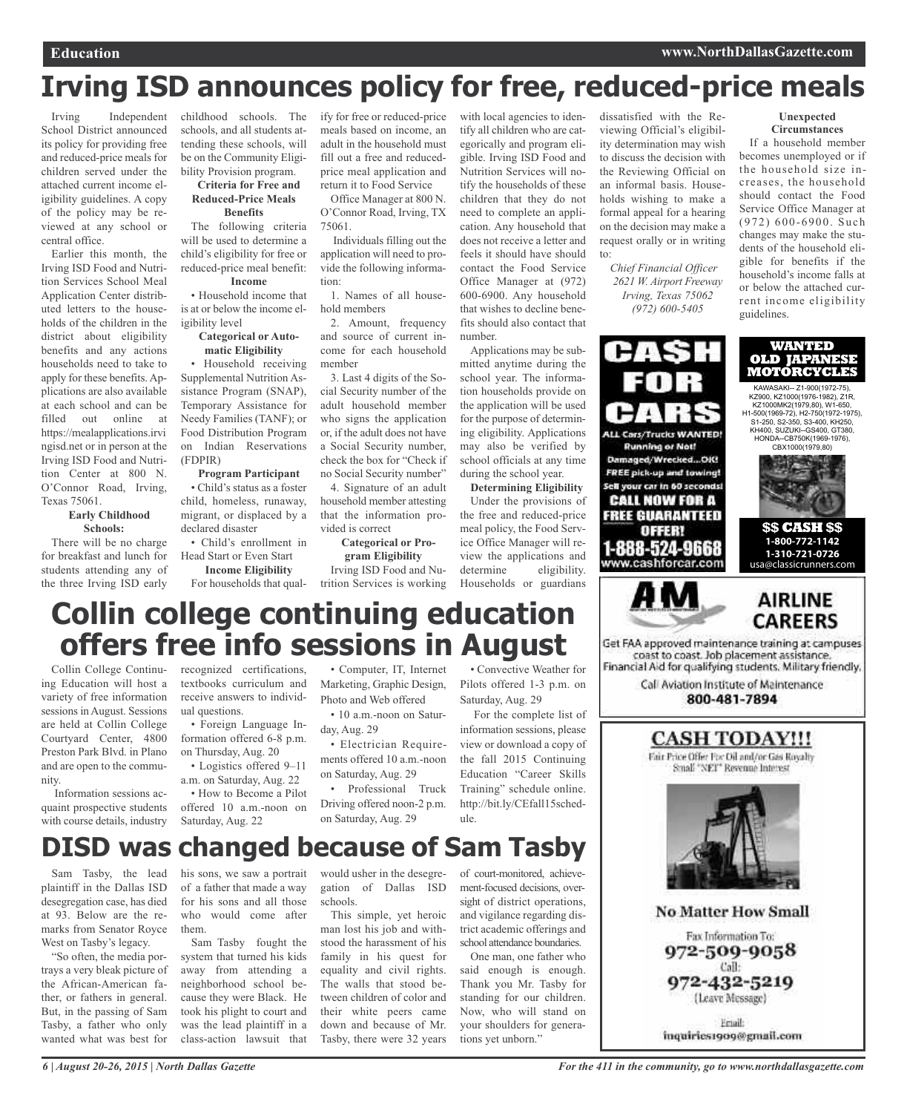# **Irving ISD announces policy for free, reduced-price meals**

Irving Independent School District announced its policy for providing free and reduced-price meals for children served under the attached current income eligibility guidelines. A copy of the policy may be reviewed at any school or central office.

Earlier this month, the Irving ISD Food and Nutrition Services School Meal Application Center distributed letters to the households of the children in the district about eligibility benefits and any actions households need to take to apply for these benefits. Applications are also available at each school and can be filled out online at https://mealapplications.irvi ngisd.net or in person at the Irving ISD Food and Nutrition Center at 800 N. O'Connor Road, Irving, Texas 75061.

### **Early Childhood Schools:**

There will be no charge for breakfast and lunch for students attending any of the three Irving ISD early

childhood schools. The schools, and all students attending these schools, will be on the Community Eligibility Provision program.

#### **Criteria for Free and Reduced-Price Meals Benefits**

The following criteria will be used to determine a child's eligibility for free or reduced-price meal benefit: **Income**

• Household income that is at or below the income eligibility level

#### **Categorical or Automatic Eligibility**

• Household receiving Supplemental Nutrition Assistance Program (SNAP), Temporary Assistance for Needy Families (TANF); or Food Distribution Program on Indian Reservations (FDPIR)

## **Program Participant**

• Child's status as a foster child, homeless, runaway, migrant, or displaced by a declared disaster

• Child's enrollment in Head Start or Even Start

**Income Eligibility** For households that qual-trition Services is working

ify for free or reduced-price meals based on income, an adult in the household must fill out a free and reducedprice meal application and return it to Food Service

Office Manager at 800 N. O'Connor Road, Irving, TX 75061.

Individuals filling out the application will need to provide the following information:

1. Names of all household members

2. Amount, frequency and source of current income for each household member

3. Last 4 digits of the Social Security number of the adult household member who signs the application or, if the adult does not have a Social Security number, check the box for "Check if no Social Security number"

4. Signature of an adult household member attesting that the information provided is correct

**Categorical or Program Eligibility**

Irving ISD Food and Nu-

tify all children who are categorically and program eligible. Irving ISD Food and Nutrition Services will notify the households of these children that they do not need to complete an application. Any household that does not receive a letter and feels it should have should contact the Food Service Office Manager at (972) 600-6900. Any household that wishes to decline benefits should also contact that number.

with local agencies to iden-

Applications may be submitted anytime during the school year. The information households provide on the application will be used for the purpose of determining eligibility. Applications may also be verified by school officials at any time during the school year.

**Determining Eligibility** Under the provisions of the free and reduced-price meal policy, the Food Service Office Manager will review the applications and determine eligibility. Households or guardians

dissatisfied with the Reviewing Official's eligibility determination may wish to discuss the decision with the Reviewing Official on an informal basis. Households wishing to make a formal appeal for a hearing on the decision may make a request orally or in writing to:

*Chief Financial Officer 2621 W. Airport Freeway Irving, Texas 75062 (972) 600-5405*



If a household member becomes unemployed or if the household size increases, the household should contact the Food Service Office Manager at (972) 600-6900. Such changes may make the students of the household eligible for benefits if the household's income falls at or below the attached current income eligibility guidelines.



# **Collin college continuing education offers free info sessions in August**

Collin College Continuing Education will host a variety of free information sessions in August. Sessions are held at Collin College Courtyard Center, 4800 Preston Park Blvd. in Plano and are open to the community.

Information sessions acquaint prospective students with course details, industry recognized certifications, textbooks curriculum and receive answers to individual questions.

• Foreign Language Information offered 6-8 p.m. on Thursday, Aug. 20

• Logistics offered 9–11 a.m. on Saturday, Aug. 22

• How to Become a Pilot offered 10 a.m.-noon on Saturday, Aug. 22

• Computer, IT, Internet Marketing, Graphic Design, Photo and Web offered

• 10 a.m.-noon on Saturday, Aug. 29

• Electrician Requirements offered 10 a.m.-noon on Saturday, Aug. 29

• Professional Truck Driving offered noon-2 p.m. on Saturday, Aug. 29

• Convective Weather for Pilots offered 1-3 p.m. on Saturday, Aug. 29

For the complete list of information sessions, please view or download a copy of the fall 2015 Continuing Education "Career Skills Training" schedule online. http://bit.ly/CEfall15schedule.

## **DISD was changed because of Sam Tasby**

Sam Tasby, the lead plaintiff in the Dallas ISD desegregation case, has died at 93. Below are the remarks from Senator Royce West on Tasby's legacy.

"So often, the media portrays a very bleak picture of the African-American father, or fathers in general. But, in the passing of Sam Tasby, a father who only wanted what was best for

his sons, we saw a portrait of a father that made a way for his sons and all those who would come after them.

Sam Tasby fought the system that turned his kids away from attending a neighborhood school because they were Black. He took his plight to court and was the lead plaintiff in a class-action lawsuit that

would usher in the desegregation of Dallas ISD schools.

This simple, yet heroic man lost his job and withstood the harassment of his family in his quest for equality and civil rights. The walls that stood between children of color and their white peers came down and because of Mr. Tasby, there were 32 years

of court-monitored, achievement-focused decisions, oversight of district operations, and vigilance regarding district academic offerings and school attendance boundaries.

One man, one father who said enough is enough. Thank you Mr. Tasby for standing for our children. Now, who will stand on your shoulders for generations yet unborn."





**No Matter How Small** Fax Information To: 972-509-9058 Call: 972-432-5219 (Leave Message)

Eriail: inquiries1909@gmail.com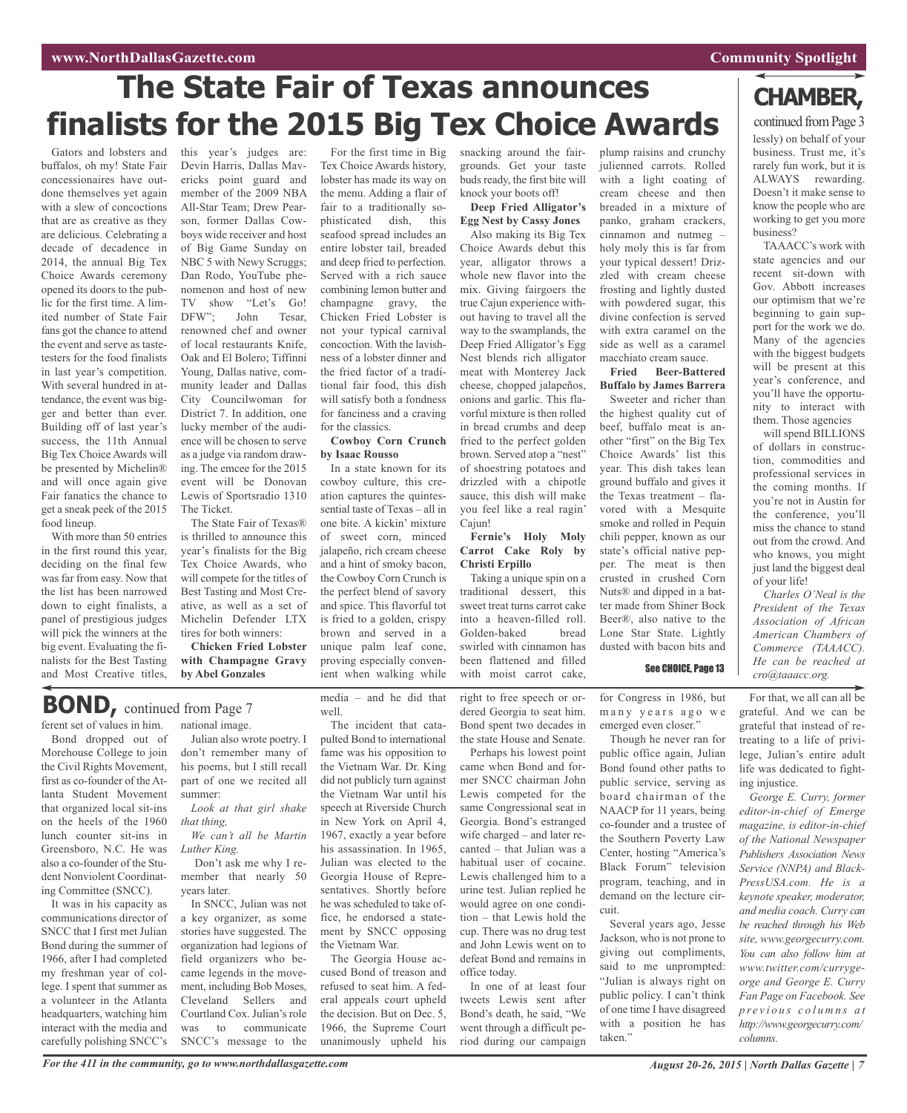## **www.NorthDallasGazette.com Community** Spotlight

# **The State Fair of Texas announces finalists for the 2015 Big Tex Choice Awards**

Gators and lobsters and buffalos, oh my! State Fair concessionaires have outdone themselves yet again with a slew of concoctions that are as creative as they are delicious. Celebrating a decade of decadence in 2014, the annual Big Tex Choice Awards ceremony opened its doors to the public for the first time. A limited number of State Fair fans got the chance to attend the event and serve as tastetesters for the food finalists in last year's competition. With several hundred in attendance, the event was bigger and better than ever. Building off of last year's success, the 11th Annual Big Tex Choice Awards will be presented by Michelin® and will once again give Fair fanatics the chance to get a sneak peek of the 2015 food lineup.

With more than 50 entries in the first round this year, deciding on the final few was far from easy. Now that the list has been narrowed down to eight finalists, a panel of prestigious judges will pick the winners at the big event. Evaluating the finalists for the Best Tasting and Most Creative titles,

on the heels of the 1960 lunch counter sit-ins in Greensboro, N.C. He was also a co-founder of the Student Nonviolent Coordinating Committee (SNCC). It was in his capacity as communications director of SNCC that I first met Julian Bond during the summer of 1966, after I had completed my freshman year of college. I spent that summer as a volunteer in the Atlanta headquarters, watching him interact with the media and carefully polishing SNCC's

this year's judges are: Devin Harris, Dallas Mavericks point guard and member of the 2009 NBA All-Star Team; Drew Pearson, former Dallas Cowboys wide receiver and host of Big Game Sunday on NBC 5 with Newy Scruggs; Dan Rodo, YouTube phenomenon and host of new TV show "Let's Go! DFW"; John Tesar, renowned chef and owner of local restaurants Knife, Oak and El Bolero; Tiffinni Young, Dallas native, community leader and Dallas City Councilwoman for District 7. In addition, one lucky member of the audience will be chosen to serve as a judge via random drawing. The emcee for the 2015 event will be Donovan Lewis of Sportsradio 1310 The Ticket.

The State Fair of Texas® is thrilled to announce this year's finalists for the Big Tex Choice Awards, who will compete for the titles of Best Tasting and Most Creative, as well as a set of Michelin Defender LTX tires for both winners:

**Chicken Fried Lobster with Champagne Gravy by Abel Gonzales**

For the first time in Big Tex Choice Awards history, lobster has made its way on the menu. Adding a flair of fair to a traditionally sophisticated dish, this seafood spread includes an entire lobster tail, breaded and deep fried to perfection. Served with a rich sauce combining lemon butter and champagne gravy, the Chicken Fried Lobster is not your typical carnival concoction. With the lavishness of a lobster dinner and the fried factor of a traditional fair food, this dish will satisfy both a fondness for fanciness and a craving for the classics. **Cowboy Corn Crunch**

## **by Isaac Rousso**

In a state known for its cowboy culture, this creation captures the quintessential taste of Texas – all in one bite. A kickin' mixture of sweet corn, minced jalapeño, rich cream cheese and a hint of smoky bacon, the Cowboy Corn Crunch is the perfect blend of savory and spice. This flavorful tot is fried to a golden, crispy brown and served in a unique palm leaf cone, proving especially convenient when walking while

snacking around the fairgrounds. Get your taste buds ready, the first bite will knock your boots off!

**Deep Fried Alligator's Egg Nest by Cassy Jones**

Also making its Big Tex Choice Awards debut this year, alligator throws a whole new flavor into the mix. Giving fairgoers the true Cajun experience without having to travel all the way to the swamplands, the Deep Fried Alligator's Egg Nest blends rich alligator meat with Monterey Jack cheese, chopped jalapeños, onions and garlic. This flavorful mixture is then rolled in bread crumbs and deep fried to the perfect golden brown. Served atop a "nest" of shoestring potatoes and drizzled with a chipotle sauce, this dish will make you feel like a real ragin' Cajun!

**Fernie's Holy Moly Carrot Cake Roly by Christi Erpillo**

Taking a unique spin on a traditional dessert, this sweet treat turns carrot cake into a heaven-filled roll. Golden-baked bread swirled with cinnamon has been flattened and filled with moist carrot cake,

julienned carrots. Rolled with a light coating of cream cheese and then breaded in a mixture of panko, graham crackers, cinnamon and nutmeg – holy moly this is far from your typical dessert! Drizzled with cream cheese frosting and lightly dusted with powdered sugar, this divine confection is served with extra caramel on the side as well as a caramel macchiato cream sauce.

plump raisins and crunchy

**Fried Beer-Battered Buffalo by James Barrera**

Sweeter and richer than the highest quality cut of beef, buffalo meat is another "first" on the Big Tex Choice Awards' list this year. This dish takes lean ground buffalo and gives it the Texas treatment – flavored with a Mesquite smoke and rolled in Pequin chili pepper, known as our state's official native pepper. The meat is then crusted in crushed Corn Nuts® and dipped in a batter made from Shiner Bock Beer®, also native to the Lone Star State. Lightly dusted with bacon bits and

## See CHOICE, Page 13

for Congress in 1986, but many years ago we emerged even closer."

Though he never ran for public office again, Julian Bond found other paths to public service, serving as board chairman of the NAACP for 11 years, being co-founder and a trustee of the Southern Poverty Law Center, hosting "America's Black Forum" television program, teaching, and in demand on the lecture circuit.

Several years ago, Jesse Jackson, who is not prone to giving out compliments, said to me unprompted: "Julian is always right on public policy. I can't think of one time I have disagreed with a position he has taken."

## **CHAMBER,**

lessly) on behalf of your business. Trust me, it's rarely fun work, but it is ALWAYS rewarding. Doesn't it make sense to know the people who are working to get you more business? continued from Page 3

TAAACC's work with state agencies and our recent sit-down with Gov. Abbott increases our optimism that we're beginning to gain support for the work we do. Many of the agencies with the biggest budgets will be present at this year's conference, and you'll have the opportunity to interact with them. Those agencies

will spend BILLIONS of dollars in construction, commodities and professional services in the coming months. If you're not in Austin for the conference, you'll miss the chance to stand out from the crowd. And who knows, you might just land the biggest deal of your life!

*Charles O'Neal is the President of the Texas Association of African American Chambers of Commerce (TAAACC). He can be reached at cro@taaacc.org.*

For that, we all can all be grateful. And we can be grateful that instead of retreating to a life of privilege, Julian's entire adult life was dedicated to fighting injustice.

*George E. Curry, former editor-in-chief of Emerge magazine, is editor-in-chief of the National Newspaper Publishers Association News Service (NNPA) and Black-PressUSA.com. He is a keynote speaker, moderator, and media coach. Curry can be reached through his Web site, www.georgecurry.com. You can also follow him at www.twitter.com/currygeorge and George E. Curry Fan Page on Facebook. See p r e v i o u s c o l u m n s a t http://www.georgecurry.com/ columns.*

ferent set of values in him. Bond dropped out of national image. Julian also wrote poetry. I **BOND,** continued from Page <sup>7</sup>

Morehouse College to join the Civil Rights Movement, first as co-founder of the Atlanta Student Movement that organized local sit-ins don't remember many of his poems, but I still recall part of one we recited all summer:

*Look at that girl shake that thing,*

*We can't all be Martin Luther King.*

Don't ask me why I remember that nearly 50 years later.

In SNCC, Julian was not a key organizer, as some stories have suggested. The organization had legions of field organizers who became legends in the movement, including Bob Moses, Cleveland Sellers and Courtland Cox. Julian's role was to communicate SNCC's message to the media – and he did that well. The incident that cata-

pulted Bond to international fame was his opposition to the Vietnam War. Dr. King did not publicly turn against the Vietnam War until his speech at Riverside Church in New York on April 4, 1967, exactly a year before his assassination. In 1965, Julian was elected to the Georgia House of Representatives. Shortly before he was scheduled to take office, he endorsed a statement by SNCC opposing the Vietnam War.

The Georgia House accused Bond of treason and refused to seat him. A federal appeals court upheld the decision. But on Dec. 5, 1966, the Supreme Court unanimously upheld his

right to free speech or ordered Georgia to seat him. Bond spent two decades in

the state House and Senate. Perhaps his lowest point came when Bond and former SNCC chairman John Lewis competed for the same Congressional seat in Georgia. Bond's estranged wife charged – and later recanted – that Julian was a habitual user of cocaine. Lewis challenged him to a urine test. Julian replied he would agree on one condition – that Lewis hold the cup. There was no drug test and John Lewis went on to defeat Bond and remains in office today.

In one of at least four tweets Lewis sent after Bond's death, he said, "We went through a difficult period during our campaign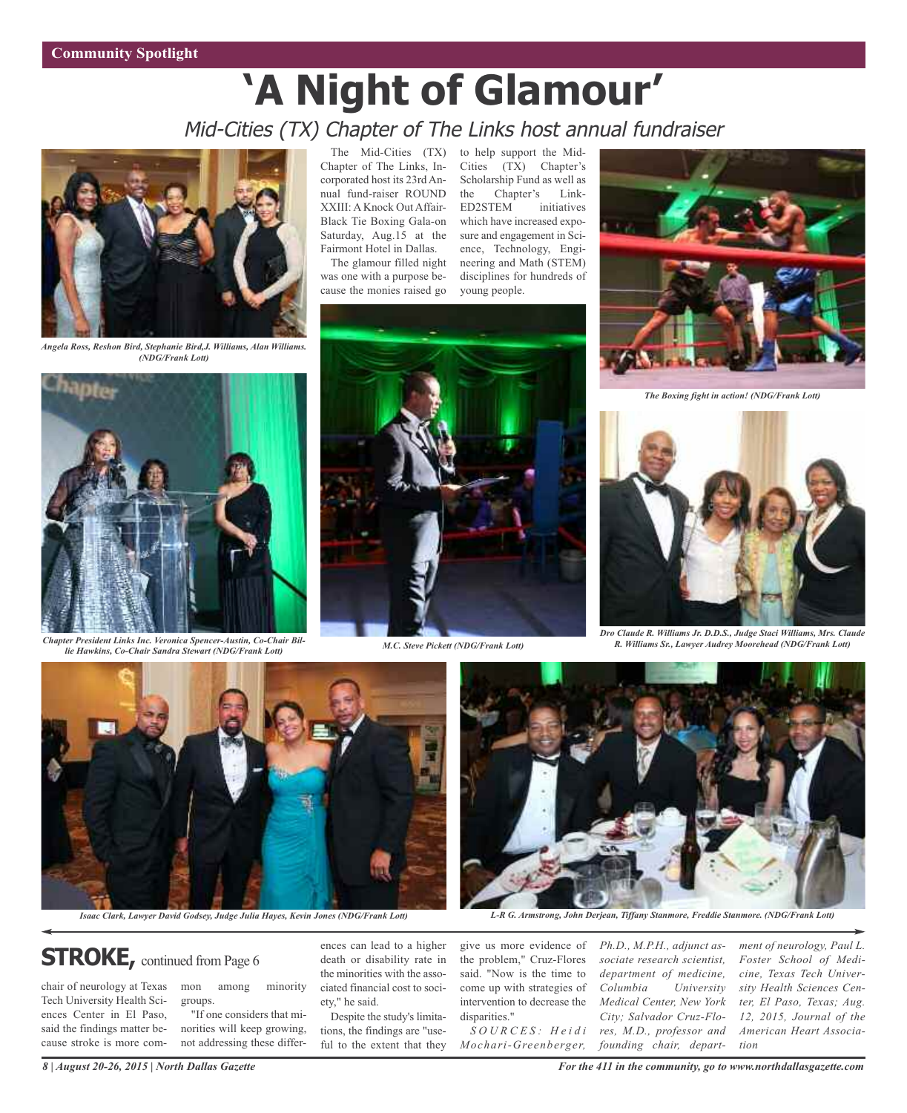# **'A Night of Glamour'** Mid-Cities (TX) Chapter of The Links host annual fundraiser



*Angela Ross, Reshon Bird, Stephanie Bird,J. Williams, Alan Williams. (NDG/Frank Lott)*

The Mid-Cities (TX) Chapter of The Links, Incorporated host its 23rd Annual fund-raiser ROUND XXIII: A Knock Out Affair-Black Tie Boxing Gala-on Saturday, Aug.15 at the Fairmont Hotel in Dallas.

The glamour filled night was one with a purpose because the monies raised go

to help support the Mid-Cities (TX) Chapter's Scholarship Fund as well as the Chapter's Link-ED2STEM initiatives which have increased exposure and engagement in Science, Technology, Engineering and Math (STEM) disciplines for hundreds of young people.



*The Boxing fight in action! (NDG/Frank Lott)*



*M.C. Steve Pickett (NDG/Frank Lott) M.C. Steve Pickett (NDG/Frank Lott) lie Hawkins, Co-Chair Sandra Stewart (NDG/Frank Lott)*





*Dro Claude R. Williams Jr. D.D.S., Judge Staci Williams, Mrs. Claude R. Williams Sr., Lawyer Audrey Moorehead (NDG/Frank Lott)*



# Isaac Clark, Lawyer David Godsey, Judge Julia Hayes, Kevin Jones (NDG/Frank Lott) L-R G. Armstrong, John Derjean, Tiffany Stanmore, Freddie Stanmore. (NDG/Frank Lott)

## **STROKE**, continued from Page 6

chair of neurology at Texas Tech University Health Sciences Center in El Paso, said the findings matter because stroke is more common among minority groups. "If one considers that mi-

norities will keep growing, not addressing these differ-

ences can lead to a higher death or disability rate in the minorities with the associated financial cost to society," he said.

Despite the study's limitations, the findings are "useful to the extent that they

give us more evidence of the problem," Cruz-Flores said. "Now is the time to come up with strategies of intervention to decrease the disparities."

*S O U R C E S : H e i d i Mochari-Greenberger,* *Ph.D., M.P.H., adjunct associate research scientist, department of medicine, Columbia University Medical Center, New York City; Salvador Cruz-Flores, M.D., professor and founding chair, depart-*

*ment of neurology, Paul L. Foster School of Medicine, Texas Tech University Health Sciences Center, El Paso, Texas; Aug. 12, 2015, Journal of the American Heart Association*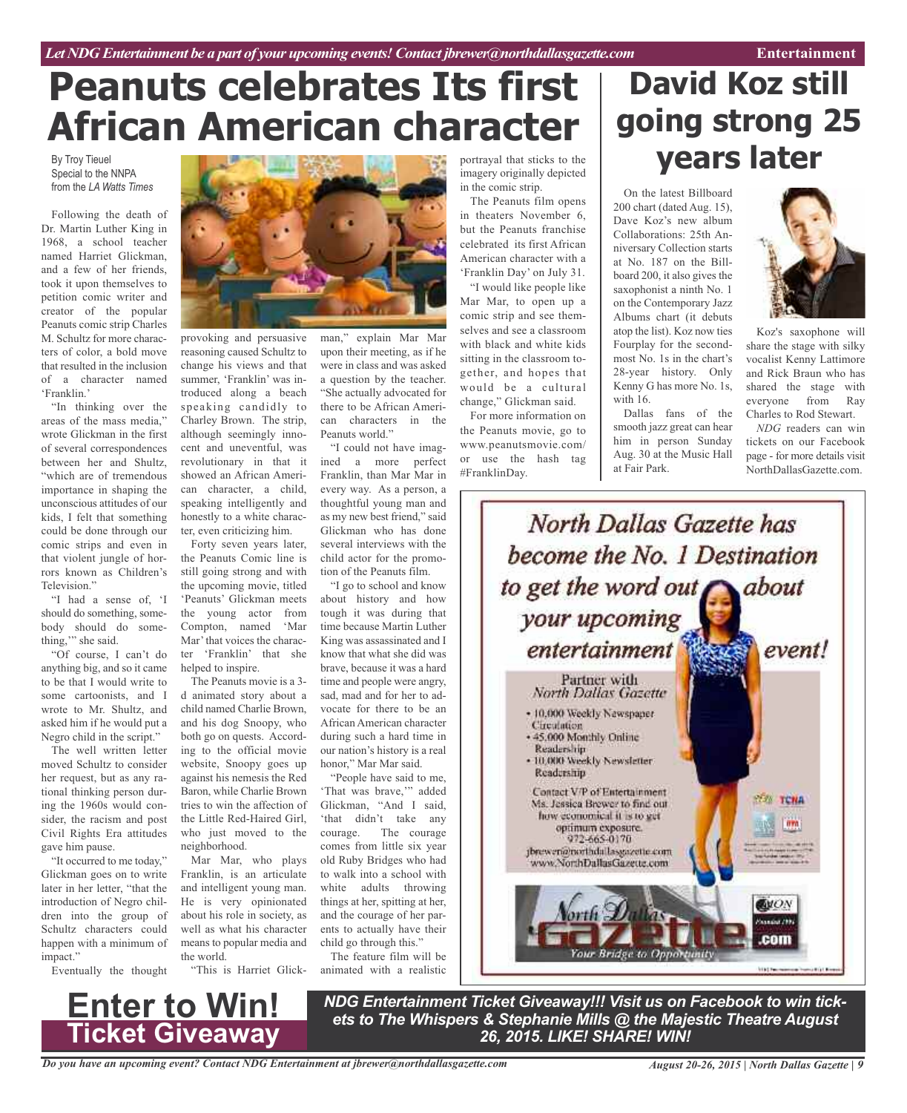# **Peanuts celebrates Its first African American character**

By Troy Tieuel Special to the NNPA from the *LA Watts Times*

Following the death of Dr. Martin Luther King in 1968, a school teacher named Harriet Glickman, and a few of her friends, took it upon themselves to petition comic writer and creator of the popular Peanuts comic strip Charles M. Schultz for more characters of color, a bold move that resulted in the inclusion of a character named 'Franklin.'

"In thinking over the areas of the mass media," wrote Glickman in the first of several correspondences between her and Shultz, "which are of tremendous importance in shaping the unconscious attitudes of our kids, I felt that something could be done through our comic strips and even in that violent jungle of horrors known as Children's Television."

"I had a sense of, 'I should do something, somebody should do something," she said.

"Of course, I can't do anything big, and so it came to be that I would write to some cartoonists, and I wrote to Mr. Shultz, and asked him if he would put a Negro child in the script."

The well written letter moved Schultz to consider her request, but as any rational thinking person during the 1960s would consider, the racism and post Civil Rights Era attitudes gave him pause.

"It occurred to me today," Glickman goes on to write later in her letter, "that the introduction of Negro children into the group of Schultz characters could happen with a minimum of impact."

Eventually the thought



provoking and persuasive reasoning caused Schultz to change his views and that summer, 'Franklin' was introduced along a beach speaking candidly to Charley Brown. The strip, although seemingly innocent and uneventful, was revolutionary in that it showed an African American character, a child, speaking intelligently and honestly to a white character, even criticizing him.

Forty seven years later, the Peanuts Comic line is still going strong and with the upcoming movie, titled 'Peanuts' Glickman meets the young actor from Compton, named 'Mar Mar'that voices the character 'Franklin' that she helped to inspire.

The Peanuts movie is a 3 d animated story about a child named Charlie Brown, and his dog Snoopy, who both go on quests. According to the official movie website, Snoopy goes up against his nemesis the Red Baron, while Charlie Brown tries to win the affection of the Little Red-Haired Girl, who just moved to the neighborhood.

Mar Mar, who plays Franklin, is an articulate and intelligent young man. He is very opinionated about his role in society, as well as what his character means to popular media and the world.

"This is Harriet Glick-

man," explain Mar Mar upon their meeting, as if he were in class and was asked a question by the teacher. "She actually advocated for there to be African American characters in the Peanuts world."

"I could not have imagined a more perfect Franklin, than Mar Mar in every way. As a person, a thoughtful young man and as my new best friend," said Glickman who has done several interviews with the child actor for the promotion of the Peanuts film.

"I go to school and know about history and how tough it was during that time because Martin Luther King was assassinated and I know that what she did was brave, because it was a hard time and people were angry, sad, mad and for her to advocate for there to be an African American character during such a hard time in our nation's history is a real honor," Mar Mar said.

"People have said to me, 'That was brave,'" added Glickman, "And I said, 'that didn't take any courage. The courage comes from little six year old Ruby Bridges who had to walk into a school with white adults throwing things at her, spitting at her, and the courage of her parents to actually have their child go through this."

The feature film will be animated with a realistic portrayal that sticks to the imagery originally depicted in the comic strip.

The Peanuts film opens in theaters November 6, but the Peanuts franchise celebrated its first African American character with a 'Franklin Day' on July 31.

"I would like people like Mar Mar, to open up a comic strip and see themselves and see a classroom with black and white kids sitting in the classroom together, and hopes that would be a cultural change," Glickman said.

For more information on the Peanuts movie, go to www.peanutsmovie.com/ or use the hash tag #FranklinDay.

# **David Koz still going strong 25 years later**

On the latest Billboard 200 chart (dated Aug. 15), Dave Koz's new album Collaborations: 25th Anniversary Collection starts at No. 187 on the Billboard 200, it also gives the saxophonist a ninth No. 1 on the Contemporary Jazz Albums chart (it debuts atop the list). Koz now ties Fourplay for the secondmost No. 1s in the chart's 28-year history. Only Kenny G has more No. 1s, with 16.

Dallas fans of the smooth jazz great can hear him in person Sunday Aug. 30 at the Music Hall at Fair Park.



Koz's saxophone will share the stage with silky vocalist Kenny Lattimore and Rick Braun who has shared the stage with everyone from Ray Charles to Rod Stewart.

*NDG* readers can win tickets on our Facebook page - for more details visit NorthDallasGazette.com.



## *Do you have an upcoming event? Contact NDG Entertainment at jbrewer@northdallasgazette.com* **Ticket Giveaway**

**Enter to Win!**

*NDG Entertainment Ticket Giveaway!!! Visit us on Facebook to win tickets to The Whispers & Stephanie Mills @ the Majestic Theatre August 26, 2015. LIKE! SHARE! WIN!*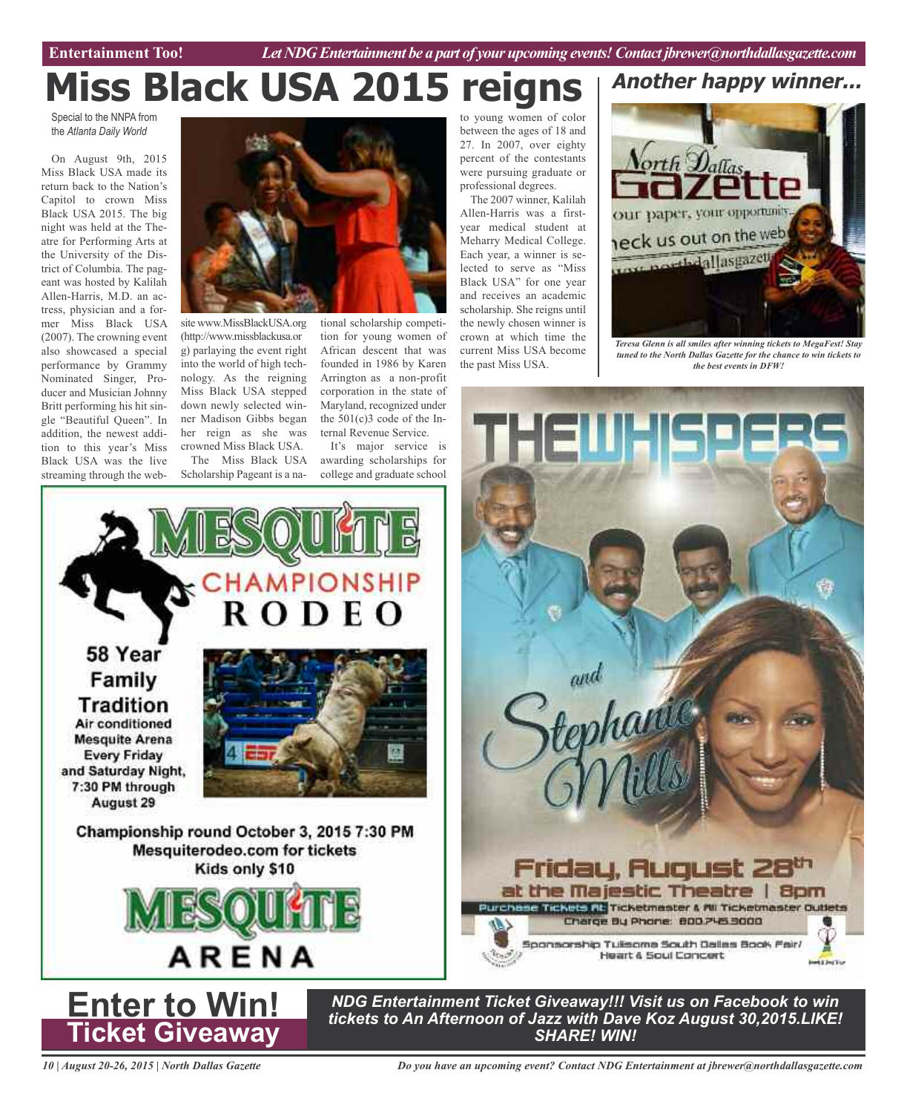Entertainment Too! *Let NDG Entertainment be a part of your upcoming events! Contact jbrewer@northdallasgazette.com* 

# **Miss Black USA 2015 reign**

Special to the NNPA from the *Atlanta Daily World*

On August 9th, 2015 Miss Black USA made its return back to the Nation's Capitol to crown Miss Black USA 2015. The big night was held at the Theatre for Performing Arts at the University of the District of Columbia. The pageant was hosted by Kalilah Allen-Harris, M.D. an actress, physician and a former Miss Black USA (2007). The crowning event also showcased a special performance by Grammy Nominated Singer, Producer and Musician Johnny Britt performing his hit single "Beautiful Queen". In addition, the newest addition to this year's Miss Black USA was the live streaming through the web-

58 Year

Family

**Tradition** Air conditioned **Mesquite Arena Every Friday** and Saturday Night, 7:30 PM through August 29



**CHAMPIONSHIP** 

site www.MissBlackUSA.org (http://www.missblackusa.or g) parlaying the event right into the world of high technology. As the reigning Miss Black USA stepped down newly selected winner Madison Gibbs began her reign as she was crowned Miss Black USA. The Miss Black USA Scholarship Pageant is a na-

tional scholarship competition for young women of African descent that was founded in 1986 by Karen Arrington as a non-profit corporation in the state of Maryland, recognized under the 501(c)3 code of the Internal Revenue Service.

It's major service is awarding scholarships for college and graduate school

E O

to young women of color between the ages of 18 and 27. In 2007, over eighty percent of the contestants were pursuing graduate or professional degrees.

The 2007 winner, Kalilah Allen-Harris was a firstyear medical student at Meharry Medical College. Each year, a winner is selected to serve as "Miss Black USA" for one year and receives an academic scholarship. She reigns until the newly chosen winner is crown at which time the current Miss USA become the past Miss USA.



*Teresa Glenn is all smiles after winning tickets to MegaFest! Stay tuned to the North Dallas Gazette for the chance to win tickets to the best events in DFW!*



Championship round October 3, 2015 7:30 PM Mesquiterodeo.com for tickets Kids only \$10 ARENA **Enter to Win! Ticket Giveaway**

*NDG Entertainment Ticket Giveaway!!! Visit us on Facebook to win tickets to An Afternoon of Jazz with Dave Koz August 30,2015.LIKE! SHARE! WIN!*

*10 | August 20-26, 2015 | North Dallas Gazette*

*Do you have an upcoming event? Contact NDG Entertainment at jbrewer@northdallasgazette.com*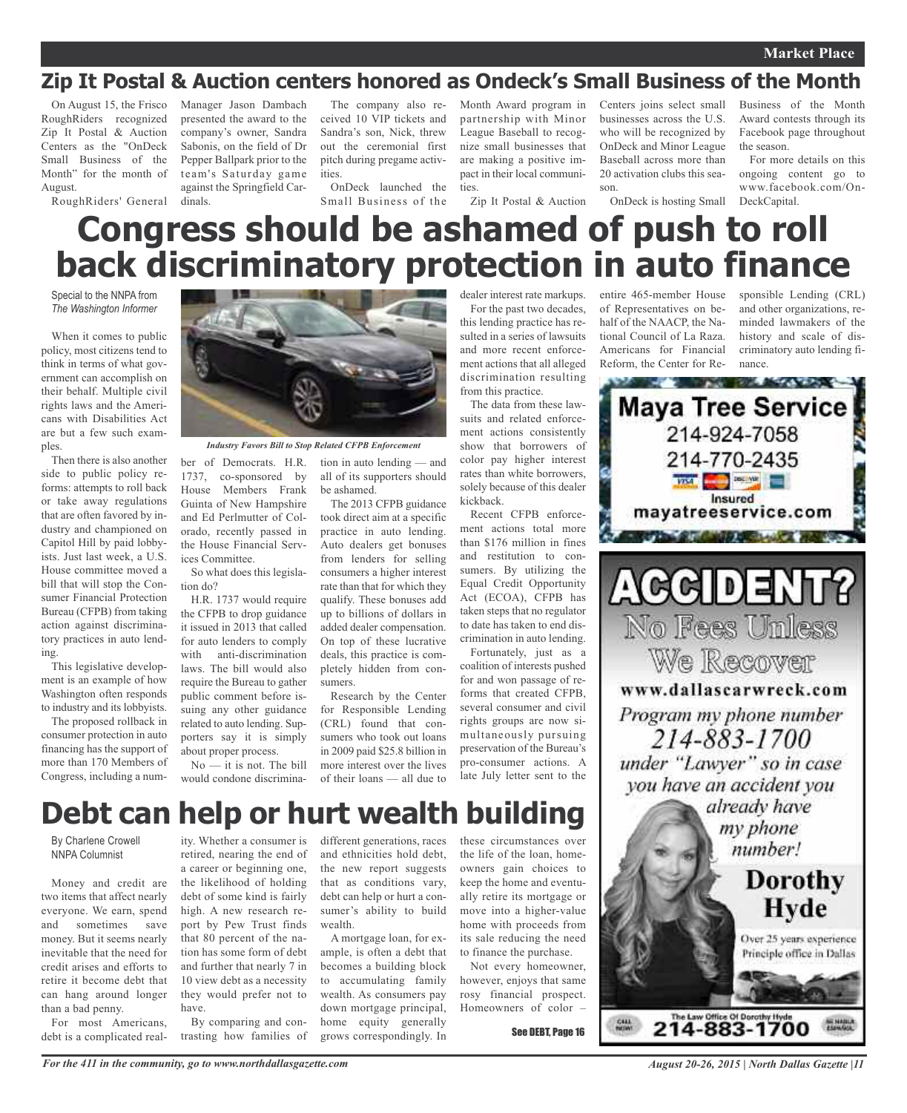## **Zip It Postal & Auction centers honored as Ondeck's Small Business of the Month**

On August 15, the Frisco RoughRiders recognized Zip It Postal & Auction Centers as the "OnDeck Small Business of the Month" for the month of August. RoughRiders' General Manager Jason Dambach presented the award to the company's owner, Sandra Sabonis, on the field of Dr Pepper Ballpark prior to the team's Saturday game against the Springfield Cardinals.

The company also received 10 VIP tickets and Sandra's son, Nick, threw out the ceremonial first pitch during pregame activities.

OnDeck launched the Small Business of the

Month Award program in partnership with Minor League Baseball to recognize small businesses that are making a positive impact in their local communities.

Zip It Postal & Auction

Centers joins select small businesses across the U.S. who will be recognized by OnDeck and Minor League Baseball across more than 20 activation clubs this season.

OnDeck is hosting Small

Business of the Month Award contests through its Facebook page throughout the season.

For more details on this ongoing content go to www.facebook.com/On-DeckCapital.

# **Congress should be ashamed of push to roll back discriminatory protection in auto finance**

Special to the NNPA from *The Washington Informer*

When it comes to public policy, most citizens tend to think in terms of what government can accomplish on their behalf. Multiple civil rights laws and the Americans with Disabilities Act are but a few such examples.

Then there is also another side to public policy reforms: attempts to roll back or take away regulations that are often favored by industry and championed on Capitol Hill by paid lobbyists. Just last week, a U.S. House committee moved a bill that will stop the Consumer Financial Protection Bureau (CFPB) from taking action against discriminatory practices in auto lending.

This legislative development is an example of how Washington often responds to industry and its lobbyists.

The proposed rollback in consumer protection in auto financing has the support of more than 170 Members of Congress, including a num-



*Industry Favors Bill to Stop Related CFPB Enforcement*

1737, co-sponsored by House Members Frank Guinta of New Hampshire and Ed Perlmutter of Colorado, recently passed in the House Financial Services Committee.

So what does this legislation do?

H.R. 1737 would require the CFPB to drop guidance it issued in 2013 that called for auto lenders to comply with anti-discrimination laws. The bill would also require the Bureau to gather public comment before issuing any other guidance related to auto lending. Supporters say it is simply about proper process.

No — it is not. The bill would condone discrimina-

ber of Democrats. H.R. tion in auto lending — and all of its supporters should be ashamed.

The 2013 CFPB guidance took direct aim at a specific practice in auto lending. Auto dealers get bonuses from lenders for selling consumers a higher interest rate than that for which they qualify. These bonuses add up to billions of dollars in added dealer compensation. On top of these lucrative deals, this practice is completely hidden from consumers.

Research by the Center for Responsible Lending (CRL) found that consumers who took out loans in 2009 paid \$25.8 billion in more interest over the lives of their loans — all due to

becomes a building block to accumulating family wealth. As consumers pay down mortgage principal, home equity generally grows correspondingly. In

For the past two decades, this lending practice has resulted in a series of lawsuits and more recent enforcement actions that all alleged discrimination resulting

dealer interest rate markups.

from this practice. The data from these lawsuits and related enforcement actions consistently show that borrowers of color pay higher interest rates than white borrowers, solely because of this dealer kickback.

Recent CFPB enforcement actions total more than \$176 million in fines and restitution to consumers. By utilizing the Equal Credit Opportunity Act (ECOA), CFPB has taken steps that no regulator to date has taken to end discrimination in auto lending. Fortunately, just as a

coalition of interests pushed for and won passage of reforms that created CFPB, several consumer and civil rights groups are now simultaneously pursuing preservation of the Bureau's pro-consumer actions. A late July letter sent to the

## **Debt can help or hurt wealth building**

wealth.

By Charlene Crowell NNPA Columnist

Money and credit are two items that affect nearly everyone. We earn, spend and sometimes save money. But it seems nearly inevitable that the need for credit arises and efforts to retire it become debt that can hang around longer than a bad penny.

For most Americans, debt is a complicated real-

ity. Whether a consumer is retired, nearing the end of a career or beginning one, the likelihood of holding debt of some kind is fairly high. A new research report by Pew Trust finds that 80 percent of the nation has some form of debt and further that nearly 7 in 10 view debt as a necessity they would prefer not to have.

By comparing and contrasting how families of different generations, races and ethnicities hold debt, the new report suggests that as conditions vary, debt can help or hurt a consumer's ability to build A mortgage loan, for example, is often a debt that these circumstances over the life of the loan, homeowners gain choices to keep the home and eventually retire its mortgage or move into a higher-value home with proceeds from its sale reducing the need to finance the purchase.

> Not every homeowner, however, enjoys that same rosy financial prospect. Homeowners of color –

> > See DEBT, Page 16

entire 465-member House of Representatives on behalf of the NAACP, the National Council of La Raza. Americans for Financial Reform, the Center for Re-

sponsible Lending (CRL) and other organizations, reminded lawmakers of the history and scale of discriminatory auto lending finance.



*August 20-26, 2015 | North Dallas Gazette |11*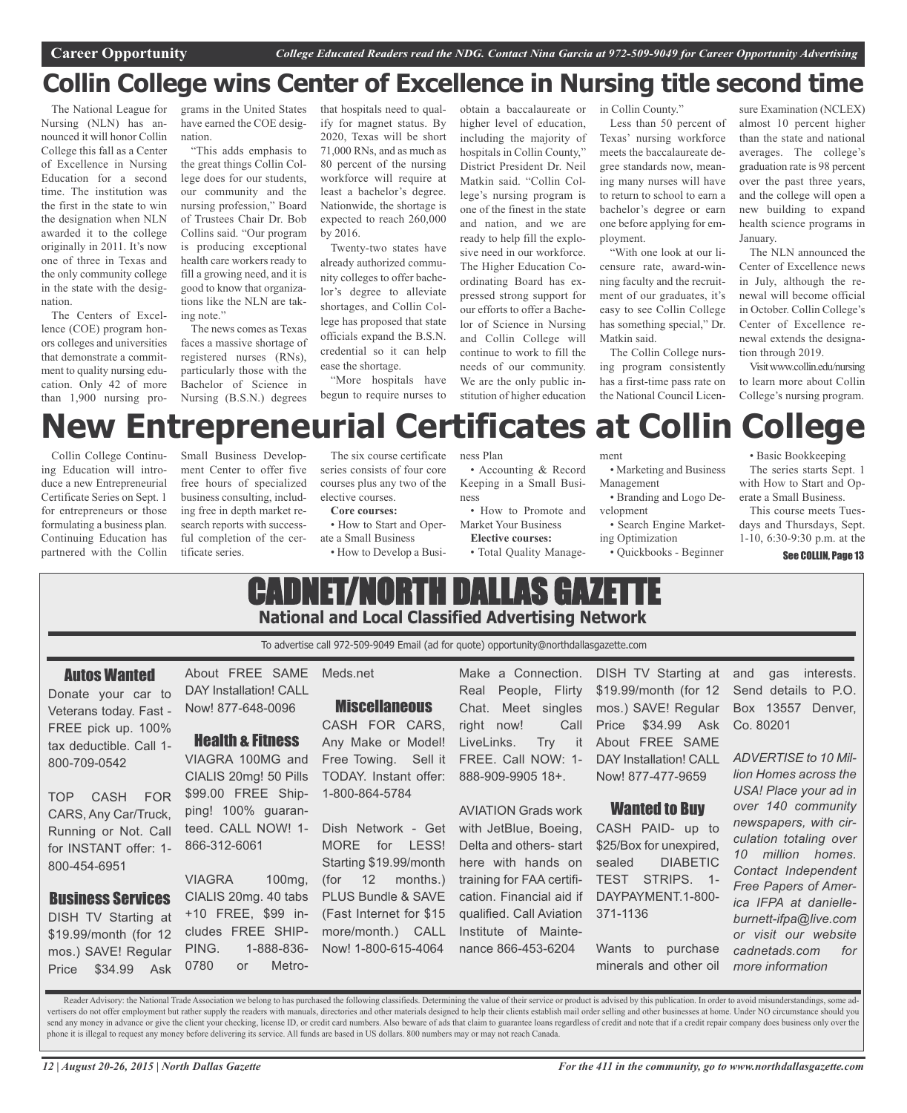## **Collin College wins Center of Excellence in Nursing title second time**

The National League for Nursing (NLN) has announced it will honor Collin College this fall as a Center of Excellence in Nursing Education for a second time. The institution was the first in the state to win the designation when NLN awarded it to the college originally in 2011. It's now one of three in Texas and the only community college in the state with the designation.

The Centers of Excellence (COE) program honors colleges and universities that demonstrate a commitment to quality nursing education. Only 42 of more than 1,900 nursing programs in the United States have earned the COE designation.

"This adds emphasis to the great things Collin College does for our students, our community and the nursing profession," Board of Trustees Chair Dr. Bob Collins said. "Our program is producing exceptional health care workers ready to fill a growing need, and it is good to know that organizations like the NLN are taking note."

The news comes as Texas faces a massive shortage of registered nurses (RNs), particularly those with the Bachelor of Science in Nursing (B.S.N.) degrees that hospitals need to qualify for magnet status. By 2020, Texas will be short 71,000 RNs, and as much as 80 percent of the nursing workforce will require at least a bachelor's degree. Nationwide, the shortage is expected to reach 260,000 by 2016.

Twenty-two states have already authorized community colleges to offer bachelor's degree to alleviate shortages, and Collin College has proposed that state officials expand the B.S.N. credential so it can help ease the shortage.

"More hospitals have begun to require nurses to

obtain a baccalaureate or higher level of education, including the majority of hospitals in Collin County," District President Dr. Neil Matkin said. "Collin College's nursing program is one of the finest in the state and nation, and we are ready to help fill the explosive need in our workforce. The Higher Education Coordinating Board has expressed strong support for our efforts to offer a Bachelor of Science in Nursing and Collin College will continue to work to fill the needs of our community. We are the only public institution of higher education

in Collin County." Less than 50 percent of Texas' nursing workforce meets the baccalaureate degree standards now, meaning many nurses will have to return to school to earn a bachelor's degree or earn one before applying for employment.

"With one look at our licensure rate, award-winning faculty and the recruitment of our graduates, it's easy to see Collin College has something special," Dr. Matkin said.

The Collin College nursing program consistently has a first-time pass rate on the National Council Licen-

sure Examination (NCLEX) almost 10 percent higher than the state and national averages. The college's graduation rate is 98 percent over the past three years, and the college will open a new building to expand health science programs in January.

The NLN announced the Center of Excellence news in July, although the renewal will become official in October. Collin College's Center of Excellence renewal extends the designation through 2019.

Visitwww.collin.edu/nursing to learn more about Collin College's nursing program.

# **New Entrepreneurial Certificates at Collin College**

ness Plan

Collin College Continuing Education will introduce a new Entrepreneurial Certificate Series on Sept. 1 for entrepreneurs or those formulating a business plan. Continuing Education has partnered with the Collin

Small Business Development Center to offer five free hours of specialized business consulting, including free in depth market research reports with successful completion of the certificate series.

Now! 877-648-0096

Health & Fitness VIAGRA 100MG and CIALIS 20mg! 50 Pills \$99.00 FREE Shipping! 100% guaranteed. CALL NOW! 1-

VIAGRA 100mg, CIALIS 20mg. 40 tabs +10 FREE, \$99 includes FREE SHIP-PING. 1-888-836- 0780 or Metro-

866-312-6061

The six course certificate series consists of four core courses plus any two of the elective courses.

**Core courses:** • How to Start and Oper-

ate a Small Business

• Accounting & Record Keeping in a Small Business

• How to Promote and Market Your Business **Elective courses:**

• Total Quality Manage-

ment • Marketing and Business

Management • Branding and Logo De-

velopment

• Search Engine Marketing Optimization

• Quickbooks - Beginner

• Basic Bookkeeping The series starts Sept. 1 with How to Start and Operate a Small Business.

This course meets Tuesdays and Thursdays, Sept. 1-10, 6:30-9:30 p.m. at the

See COLLIN, Page 13

## CADNET/NORTH DALLAS GAZET • How to Develop a Busi-

# **National and Local Classified Advertising Network**

To advertise call 972-509-9049 Email (ad for quote) opportunity@northdallasgazette.com

## Autos Wanted

Donate your car to Veterans today. Fast - FREE pick up. 100% tax deductible. Call 1- 800-709-0542

TOP CASH FOR CARS, Any Car/Truck, Running or Not. Call for INSTANT offer: 1- 800-454-6951

## Business Services

DISH TV Starting at \$19.99/month (for 12 mos.) SAVE! Regular Price \$34.99 Ask

About FREE SAME DAY Installation! CALL Meds.net

## **Miscellaneous**

CASH FOR CARS, Any Make or Model! Free Towing. Sell it TODAY. Instant offer: 1-800-864-5784

Dish Network - Get MORE for LESS! Starting \$19.99/month (for 12 months.) PLUS Bundle & SAVE (Fast Internet for \$15 more/month.) CALL Now! 1-800-615-4064

Make a Connection. Real People, Flirty Chat. Meet singles right now! Call LiveLinks. Try it FREE. Call NOW: 1- 888-909-9905 18+.

AVIATION Grads work with JetBlue, Boeing, Delta and others- start here with hands on training for FAA certification. Financial aid if qualified. Call Aviation Institute of Maintenance 866-453-6204

DISH TV Starting at \$19.99/month (for 12 mos.) SAVE! Regular Price \$34.99 Ask About FREE SAME DAY Installation! CALL Now! 877-477-9659

## Wanted to Buy

CASH PAID- up to \$25/Box for unexpired, sealed DIABETIC TEST STRIPS. 1- DAYPAYMENT.1-800- 371-1136

Wants to purchase minerals and other oil and gas interests. Send details to P.O. Box 13557 Denver, Co. 80201

*ADVERTISE to 10 Million Homes across the USA! Place your ad in over 140 community newspapers, with circulation totaling over 10 million homes. Contact Independent Free Papers of America IFPA at danielleburnett-ifpa@live.com or visit our website cadnetads.com for more information*

Reader Advisory: the National Trade Association we belong to has purchased the following classifieds. Determining the value of their service or product is advised by this publication. In order to avoid misunderstandings, s vertisers do not offer employment but rather supply the readers with manuals, directories and other materials designed to help their clients establish mail order selling and other businesses at home. Under NO circumstance send any money in advance or give the client your checking, license ID, or credit card numbers. Also beware of ads that claim to guarantee loans regardless of credit and note that if a credit repair company does business o phone it is illegal to request any money before delivering its service. All funds are based in US dollars. 800 numbers may or may not reach Canada.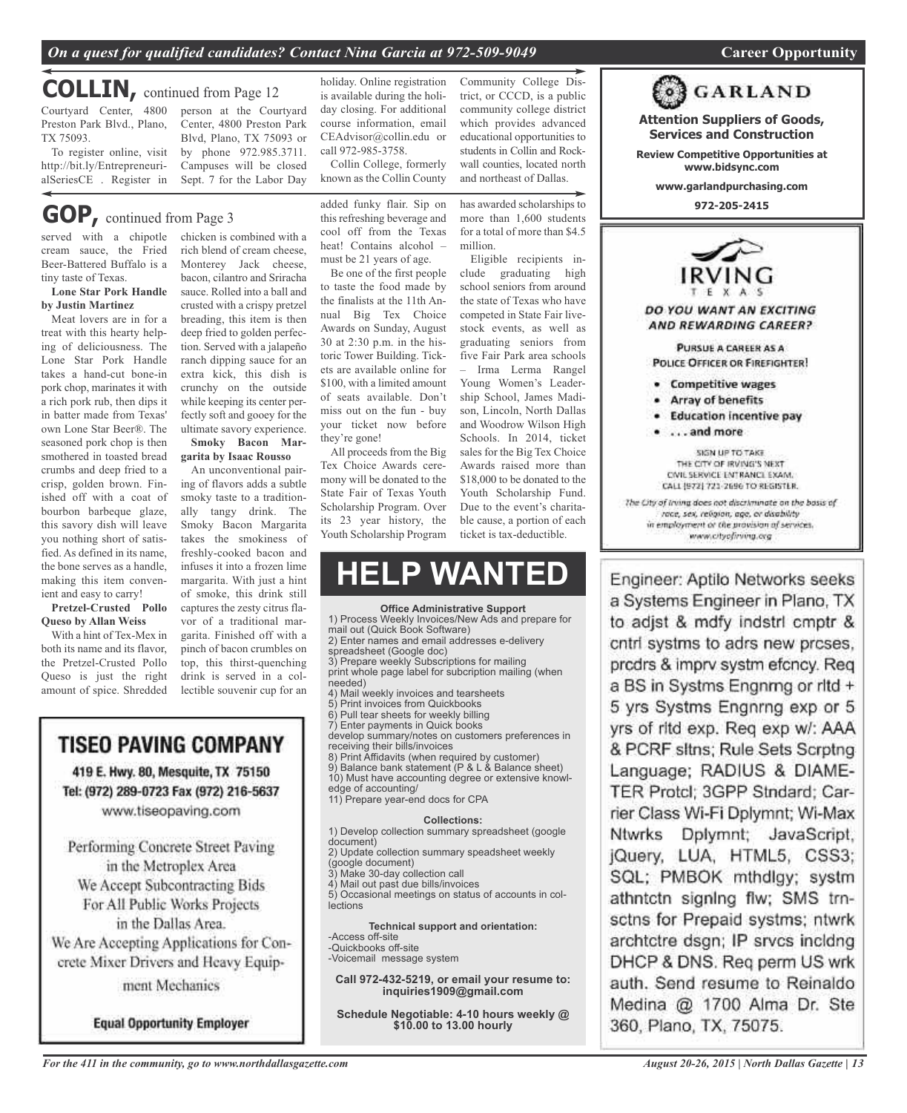## *On a quest for qualified candidates? Contact Nina Garcia at 972-509-9049* **Career Opportunity**

## **COLLIN,** continued from Page <sup>12</sup>

Courtyard Center, 4800 person at the Courtyard Preston Park Blvd., Plano, TX 75093.

To register online, visit http://bit.ly/EntrepreneurialSeriesCE . Register in

**GOP,** continued from Page <sup>3</sup>

served with a chipotle chicken is combined with a cream sauce, the Fried Beer-Battered Buffalo is a tiny taste of Texas.

#### **Lone Star Pork Handle by Justin Martinez**

Meat lovers are in for a treat with this hearty helping of deliciousness. The Lone Star Pork Handle takes a hand-cut bone-in pork chop, marinates it with a rich pork rub, then dips it in batter made from Texas' own Lone Star Beer®. The seasoned pork chop is then smothered in toasted bread crumbs and deep fried to a crisp, golden brown. Finished off with a coat of bourbon barbeque glaze, this savory dish will leave you nothing short of satisfied. As defined in its name, the bone serves as a handle, making this item convenient and easy to carry!

**Pretzel-Crusted Pollo Queso by Allan Weiss**

With a hint of Tex-Mex in both its name and its flavor, the Pretzel-Crusted Pollo Queso is just the right amount of spice. Shredded rich blend of cream cheese, Monterey Jack cheese, bacon, cilantro and Sriracha sauce. Rolled into a ball and crusted with a crispy pretzel breading, this item is then deep fried to golden perfection. Served with a jalapeño ranch dipping sauce for an extra kick, this dish is crunchy on the outside while keeping its center perfectly soft and gooey for the ultimate savory experience. **Smoky Bacon Mar-**

Sept. 7 for the Labor Day

## **garita by Isaac Rousso**

An unconventional pairing of flavors adds a subtle smoky taste to a traditionally tangy drink. The Smoky Bacon Margarita takes the smokiness of freshly-cooked bacon and infuses it into a frozen lime margarita. With just a hint of smoke, this drink still captures the zesty citrus flavor of a traditional margarita. Finished off with a pinch of bacon crumbles on top, this thirst-quenching drink is served in a collectible souvenir cup for an

## TISEO PAVING COMPANY 419 E. Hwy. 80, Mesquite, TX 75150 Tel: (972) 289-0723 Fax (972) 216-5637

www.tiseopaving.com

Performing Concrete Street Paving in the Metroplex Area We Accept Subcontracting Bids For All Public Works Projects in the Dallas Area. We Are Accepting Applications for Concrete Mixer Drivers and Heavy Equipment Mechanics

**Equal Opportunity Employer** 

Center, 4800 Preston Park Blvd, Plano, TX 75093 or by phone 972.985.3711. Campuses will be closed holiday. Online registration is available during the holiday closing. For additional course information, email CEAdvisor@collin.edu or call 972-985-3758.

Collin College, formerly known as the Collin County

added funky flair. Sip on this refreshing beverage and cool off from the Texas heat! Contains alcohol – must be 21 years of age.

Be one of the first people to taste the food made by the finalists at the 11th Annual Big Tex Choice Awards on Sunday, August 30 at 2:30 p.m. in the historic Tower Building. Tickets are available online for \$100, with a limited amount of seats available. Don't miss out on the fun - buy your ticket now before they're gone!

All proceeds from the Big Tex Choice Awards ceremony will be donated to the State Fair of Texas Youth Scholarship Program. Over its 23 year history, the Youth Scholarship Program

## **HELP WANTED**

#### **Office Administrative Support**

1) Process Weekly Invoices/New Ads and prepare for mail out (Quick Book Software) 2) Enter names and email addresses e-delivery spreadsheet (Google doc) 3) Prepare weekly Subscriptions for mailing print whole page label for subcription mailing (when needed) 4) Mail weekly invoices and tearsheets<br>5) Print invoices from Quickbooks Print invoices from Quickbooks 6) Pull tear sheets for weekly billing 7) Enter payments in Quick books develop summary/notes on customers preferences in receiving their bills/invoices 8) Print Affidavits (when required by customer) 9) Balance bank statement (P & L & Balance sheet) 10) Must have accounting degree or extensive knowledge of accounting/ 11) Prepare year-end docs for CPA **Collections:** 1) Develop collection summary spreadsheet (google document) 2) Update collection summary speadsheet weekly (google document)

3) Make 30-day collection call

4) Mail out past due bills/invoices

5) Occasional meetings on status of accounts in collections

**Technical support and orientation:** -Access off-site -Quickbooks off-site

-Voicemail message system

**Call 972-432-5219, or email your resume to: inquiries1909@gmail.com**

**Schedule Negotiable: 4-10 hours weekly @ \$10.00 to 13.00 hourly**

Community College District, or CCCD, is a public community college district which provides advanced educational opportunities to students in Collin and Rockwall counties, located north and northeast of Dallas.

has awarded scholarships to more than 1,600 students for a total of more than \$4.5 million.

Eligible recipients include graduating high school seniors from around the state of Texas who have competed in State Fair livestock events, as well as graduating seniors from five Fair Park area schools – Irma Lerma Rangel Young Women's Leadership School, James Madison, Lincoln, North Dallas and Woodrow Wilson High Schools. In 2014, ticket sales for the Big Tex Choice Awards raised more than \$18,000 to be donated to the Youth Scholarship Fund. Due to the event's charitable cause, a portion of each ticket is tax-deductible.



Engineer: Aptilo Networks seeks a Systems Engineer in Plano, TX to adjst & mdfy indstrl cmptr & cntrl systms to adrs new prcses. prodrs & imprv systm efoncy. Reg. a BS in Systms Engnmg or ritd + 5 yrs Systms Engnrng exp or 5 yrs of ritd exp. Reg exp w/: AAA & PCRF sitns; Rule Sets Scrptng Language; RADIUS & DIAME-TER Protcl: 3GPP Stndard: Carrier Class Wi-Fi Dplymnt; Wi-Max Ntwrks Dplymnt; JavaScript, jQuery, LUA, HTML5, CSS3; SQL; PMBOK mthdlgy; systm athntctn signing flw; SMS trnsctns for Prepaid systms; ntwrk archtctre dsgn; IP srvcs incldng DHCP & DNS. Req perm US wrk auth. Send resume to Reinaldo Medina @ 1700 Alma Dr. Ste 360, Plano, TX, 75075.

*For the 411 in the community, go to www.northdallasgazette.com*

**GARLAND**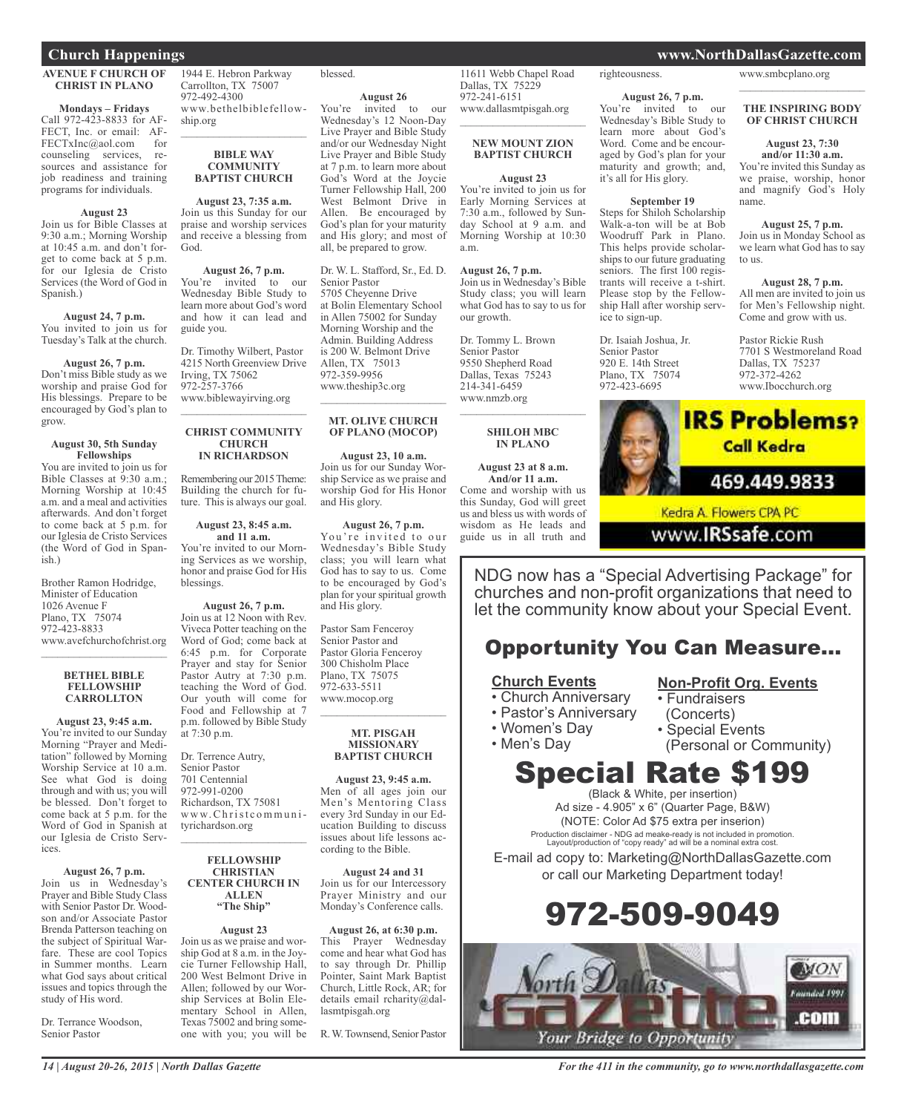## **AVENUE F CHURCH OF CHRIST IN PLANO**

**Mondays – Fridays**

Call 972-423-8833 for AF-FECT, Inc. or email: AF-FECTxInc@aol.com for counseling services, resources and assistance for job readiness and training programs for individuals.

#### **August 23**

Join us for Bible Classes at 9:30 a.m.; Morning Worship at 10:45 a.m. and don't forget to come back at 5 p.m. for our Iglesia de Cristo Services (the Word of God in Spanish.)

## **August 24, 7 p.m.**

You invited to join us for Tuesday's Talk at the church.

## **August 26, 7 p.m.**

Don't miss Bible study as we worship and praise God for His blessings. Prepare to be encouraged by God's plan to grow.

#### **August 30, 5th Sunday Fellowships**

You are invited to join us for Bible Classes at 9:30 a.m.; Morning Worship at 10:45 a.m. and a meal and activities afterwards. And don't forget to come back at 5 p.m. for our Iglesia de Cristo Services (the Word of God in Spanish.)

Brother Ramon Hodridge, Minister of Education 1026 Avenue F Plano, TX 75074 972-423-8833 www.avefchurchofchrist.org

#### **BETHEL BIBLE FELLOWSHIP CARROLLTON**

\_\_\_\_\_\_\_\_\_\_\_\_\_\_\_\_\_\_\_\_\_\_\_

**August 23, 9:45 a.m.** You're invited to our Sunday Morning "Prayer and Meditation" followed by Morning Worship Service at 10 a.m. See what God is doing through and with us; you will be blessed. Don't forget to come back at 5 p.m. for the Word of God in Spanish at our Iglesia de Cristo Services.

**August 26, 7 p.m.** Join us in Wednesday's Prayer and Bible Study Class with Senior Pastor Dr. Woodson and/or Associate Pastor Brenda Patterson teaching on the subject of Spiritual Warfare. These are cool Topics in Summer months. Learn what God says about critical issues and topics through the

Dr. Terrance Woodson, Senior Pastor

study of His word.

1944 E. Hebron Parkway Carrollton, TX 75007 972-492-4300 www.bethelbiblefellowship.org

#### **BIBLE WAY COMMUNITY BAPTIST CHURCH**

 $\mathcal{L}_\text{max}$  , where  $\mathcal{L}_\text{max}$  and  $\mathcal{L}_\text{max}$ 

**August 23, 7:35 a.m.** Join us this Sunday for our praise and worship services and receive a blessing from God.

**August 26, 7 p.m.**

You're invited to our Wednesday Bible Study to learn more about God's word and how it can lead and guide you.

Dr. Timothy Wilbert, Pastor 4215 North Greenview Drive Irving, TX 75062 972-257-3766 www.biblewayirving.org  $\mathcal{L}_\text{max}$  , where  $\mathcal{L}_\text{max}$  , we are the set of the set of the set of the set of the set of the set of the set of the set of the set of the set of the set of the set of the set of the set of the set of the set of

#### **CHRIST COMMUNITY CHURCH IN RICHARDSON**

Remembering our 2015Theme: Building the church for future. This is always our goal.

#### **August 23, 8:45 a.m. and 11 a.m.**

You're invited to our Morning Services as we worship, honor and praise God for His blessings.

**August 26, 7 p.m.** Join us at 12 Noon with Rev. Viveca Potter teaching on the Word of God; come back at 6:45 p.m. for Corporate Prayer and stay for Senior Pastor Autry at 7:30 p.m. teaching the Word of God. Our youth will come for Food and Fellowship at 7 p.m. followed by Bible Study at 7:30 p.m.

Dr. Terrence Autry, Senior Pastor 701 Centennial 972-991-0200 Richardson, TX 75081 www.Christcommunityrichardson.org  $\mathcal{L}_\text{max}$  , where  $\mathcal{L}_\text{max}$  and  $\mathcal{L}_\text{max}$ 

#### **FELLOWSHIP CHRISTIAN CENTER CHURCH IN ALLEN "The Ship"**

## **August 23**

Join us as we praise and worship God at 8 a.m. in the Joycie Turner Fellowship Hall, 200 West Belmont Drive in Allen; followed by our Worship Services at Bolin Elementary School in Allen, Texas 75002 and bring someone with you; you will be

## blessed.

**August 26**

You're invited to our Wednesday's 12 Noon-Day Live Prayer and Bible Study and/or our Wednesday Night Live Prayer and Bible Study at 7 p.m. to learn more about God's Word at the Joycie Turner Fellowship Hall, 200 West Belmont Drive in Allen. Be encouraged by God's plan for your maturity and His glory; and most of all, be prepared to grow.

Dr. W. L. Stafford, Sr., Ed. D. Senior Pastor 5705 Cheyenne Drive at Bolin Elementary School in Allen 75002 for Sunday Morning Worship and the Admin. Building Address is 200 W. Belmont Drive Allen, TX 75013 972-359-9956 www.theship3c.org  $\overline{\phantom{a}}$  , where  $\overline{\phantom{a}}$  , where  $\overline{\phantom{a}}$  , where  $\overline{\phantom{a}}$ 

### **MT. OLIVE CHURCH OF PLANO (MOCOP)**

**August 23, 10 a.m.** Join us for our Sunday Worship Service as we praise and worship God for His Honor and His glory.

#### **August 26, 7 p.m.** You're invited to our Wednesday's Bible Study

class; you will learn what God has to say to us. Come to be encouraged by God's plan for your spiritual growth and His glory.

Pastor Sam Fenceroy Senior Pastor and Pastor Gloria Fenceroy 300 Chisholm Place Plano, TX 75075 972-633-5511 www.mocop.org  $\overline{\phantom{a}}$  , where  $\overline{\phantom{a}}$  , where  $\overline{\phantom{a}}$  , where  $\overline{\phantom{a}}$ 

#### **MT. PISGAH MISSIONARY BAPTIST CHURCH**

**August 23, 9:45 a.m.** Men of all ages join our Men's Mentoring Class every 3rd Sunday in our Education Building to discuss issues about life lessons according to the Bible.

**August 24 and 31** Join us for our Intercessory Prayer Ministry and our Monday's Conference calls.

**August 26, at 6:30 p.m.** This Prayer Wednesday come and hear what God has to say through Dr. Phillip Pointer, Saint Mark Baptist Church, Little Rock, AR; for details email rcharity@dallasmtpisgah.org

R.W.Townsend, Senior Pastor

11611 Webb Chapel Road righteousness.

Dallas, TX 75229 972-241-6151

a.m.

**August 26, 7 p.m.**

Dr. Tommy L. Brown Senior Pastor 9550 Shepherd Road Dallas, Texas 75243 214-341-6459 www.nmzb.org

our growth.

www.dallasmtpisgah.org \_\_\_\_\_\_\_\_\_\_\_\_\_\_\_\_\_\_\_\_\_\_\_ **NEW MOUNT ZION BAPTIST CHURCH**

**August 23** You're invited to join us for Early Morning Services at 7:30 a.m., followed by Sunday School at 9 a.m. and Morning Worship at 10:30

Join us in Wednesday's Bible Study class; you will learn what God has to say to us for

\_\_\_\_\_\_\_\_\_\_\_\_\_\_\_\_\_\_\_\_\_\_\_ **SHILOH MBC IN PLANO**

**August 23 at 8 a.m. And/or 11 a.m.** Come and worship with us this Sunday, God will greet us and bless us with words of wisdom as He leads and guide us in all truth and

**August 26, 7 p.m.** You're invited to our Wednesday's Bible Study to learn more about God's Word. Come and be encouraged by God's plan for your maturity and growth; and, it's all for His glory.

### **September 19**

Steps for Shiloh Scholarship Walk-a-ton will be at Bob Woodruff Park in Plano. This helps provide scholarships to our future graduating seniors. The first 100 registrants will receive a t-shirt. Please stop by the Fellowship Hall after worship service to sign-up.

Dr. Isaiah Joshua, Jr. Senior Pastor 920 E. 14th Street Plano, TX 75074 972-423-6695

### www.smbcplano.org

### **THE INSPIRING BODY OF CHRIST CHURCH**

\_\_\_\_\_\_\_\_\_\_\_\_\_\_\_\_\_\_\_\_\_\_\_

**August 23, 7:30 and/or 11:30 a.m.** You're invited this Sunday as we praise, worship, honor and magnify God's Holy name.

**August 25, 7 p.m.** Join us in Monday School as we learn what God has to say to us.

**August 28, 7 p.m.** All men are invited to join us for Men's Fellowship night. Come and grow with us.

Pastor Rickie Rush 7701 S Westmoreland Road Dallas, TX 75237 972-372-4262 www.Ibocchurch.org



www.IRSsafe.com

NDG now has a "Special Advertising Package" for churches and non-profit organizations that need to let the community know about your Special Event.

## Opportunity You Can Measure...

## **Church Events**

- Church Anniversary
- Pastor's Anniversary
- Women's Day

• Men's Day

(Concerts) • Special Events

• Fundraisers

(Personal or Community)

**Non-Profit Org. Events**

# Special Rate \$199

(Black & White, per insertion) Ad size - 4.905" x 6" (Quarter Page, B&W) (NOTE: Color Ad \$75 extra per inserion) Production disclaimer - NDG ad meake-ready is not included in promotion. Layout/production of "copy ready" ad will be a nominal extra cost.

E-mail ad copy to: Marketing@NorthDallasGazette.com or call our Marketing Department today!

# 972-509-9049



*14 | August 20-26, 2015 | North Dallas Gazette*

**Church Happenings www.NorthDallasGazette.com**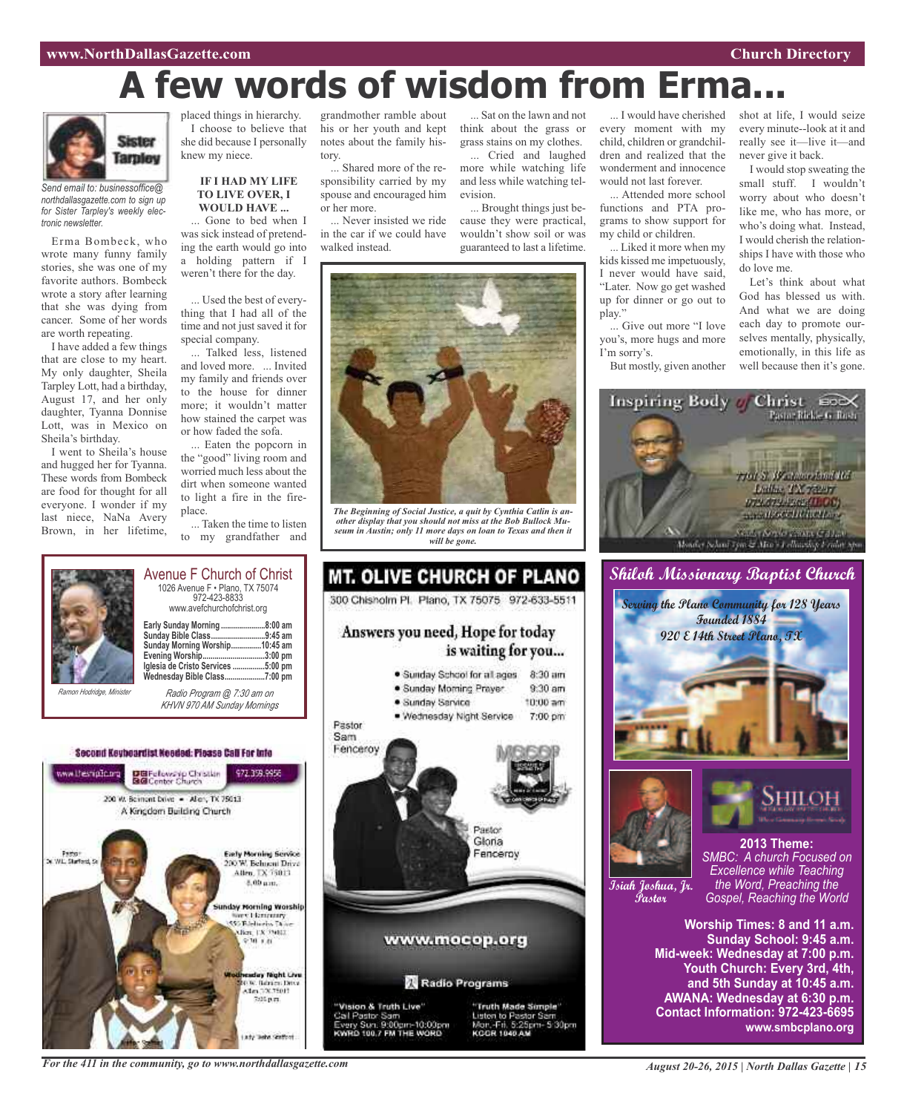# **A few words of wisdom from Erma...**



*Send email to: businessoffice@ northdallasgazette.com to sign up for Sister Tarpley's weekly electronic newsletter.*

Erma Bombeck, who wrote many funny family stories, she was one of my favorite authors. Bombeck wrote a story after learning that she was dying from cancer. Some of her words are worth repeating.

I have added a few things that are close to my heart. My only daughter, Sheila Tarpley Lott, had a birthday, August 17, and her only daughter, Tyanna Donnise Lott, was in Mexico on Sheila's birthday.

I went to Sheila's house and hugged her for Tyanna. These words from Bombeck are food for thought for all everyone. I wonder if my last niece, NaNa Avery Brown, in her lifetime,

placed things in hierarchy. I choose to believe that she did because I personally knew my niece.

#### **IF I HAD MY LIFE TO LIVE OVER, I WOULD HAVE ...**

... Gone to bed when I was sick instead of pretending the earth would go into a holding pattern if I weren't there for the day.

... Used the best of everything that I had all of the time and not just saved it for special company.

... Talked less, listened and loved more. ... Invited my family and friends over to the house for dinner more; it wouldn't matter how stained the carpet was or how faded the sofa.

... Eaten the popcorn in the "good" living room and worried much less about the dirt when someone wanted to light a fire in the fireplace.

... Taken the time to listen to my grandfather and

grandmother ramble about his or her youth and kept notes about the family history.

... Shared more of the responsibility carried by my spouse and encouraged him or her more.

... Never insisted we ride in the car if we could have walked instead.

... Sat on the lawn and not think about the grass or grass stains on my clothes.

... Cried and laughed more while watching life and less while watching television.

... Brought things just because they were practical, wouldn't show soil or was guaranteed to last a lifetime.



*The Beginning of Social Justice, a quit by Cynthia Catlin is another display that you should not miss at the Bob Bullock Museum in Austin; only 11 more days on loan to Texas and then it will be gone.*



**Early Sunday Morning ......................8:00 am Sunday Bible Class...........................9:45 am Sunday Morning Worship...............10:45 am Evening Worship...............................3:00 pm Iglesia de Cristo Services ................5:00 pm Wednesday Bible Class....................7:00 pm** *Radio Program @ 7:30 am on*

Avenue F Church of Christ

*KHVN 970 AM Sunday Mornings*

Second Keybeardist Needed: Please Call For Into



MT. OLIVE CHURCH OF PLANO 300 Chisholm Pl. Plano, TX 75075 972-633-5511 Answers you need, Hope for today is waiting for you... 8:30 am · Sunday School for all ages  $9.30 \text{ nm}$ · Sunday Moming Prayer · Sunday Service 10:00 am . Wednesday Night Service 7:00 pm Pastor Sam Fenceroy Pautos Gloria Fenceroy www.mocop.org

Radio Programs

'Vision & Truth Live' Cal Pastor Sam<br>Every Sun, 9:00pm-10:00pm<br>KWRD 100,7 FM THE WORD



... I would have cherished every moment with my child, children or grandchildren and realized that the wonderment and innocence would not last forever.

... Attended more school functions and PTA programs to show support for my child or children.

... Liked it more when my kids kissed me impetuously, I never would have said, "Later. Now go get washed up for dinner or go out to play."

... Give out more "I love you's, more hugs and more I'm sorry's.

But mostly, given another

shot at life, I would seize every minute--look at it and really see it—live it—and never give it back.

I would stop sweating the small stuff. I wouldn't worry about who doesn't like me, who has more, or who's doing what. Instead, I would cherish the relationships I have with those who do love me.

Let's think about what God has blessed us with. And what we are doing each day to promote ourselves mentally, physically, emotionally, in this life as well because then it's gone.



## **Shiloh Missionary Baptist Church**





HILOI **2013 Theme:**

**Isiah Joshua, Jr. Pastor**

*SMBC: A church Focused on Excellence while Teaching the Word, Preaching the Gospel, Reaching the World*

**Worship Times: 8 and 11 a.m. Sunday School: 9:45 a.m. Mid-week: Wednesday at 7:00 p.m. Youth Church: Every 3rd, 4th, and 5th Sunday at 10:45 a.m. AWANA: Wednesday at 6:30 p.m. Contact Information: 972-423-6695 www.smbcplano.org**

*For the 411 in the community, go to www.northdallasgazette.com*